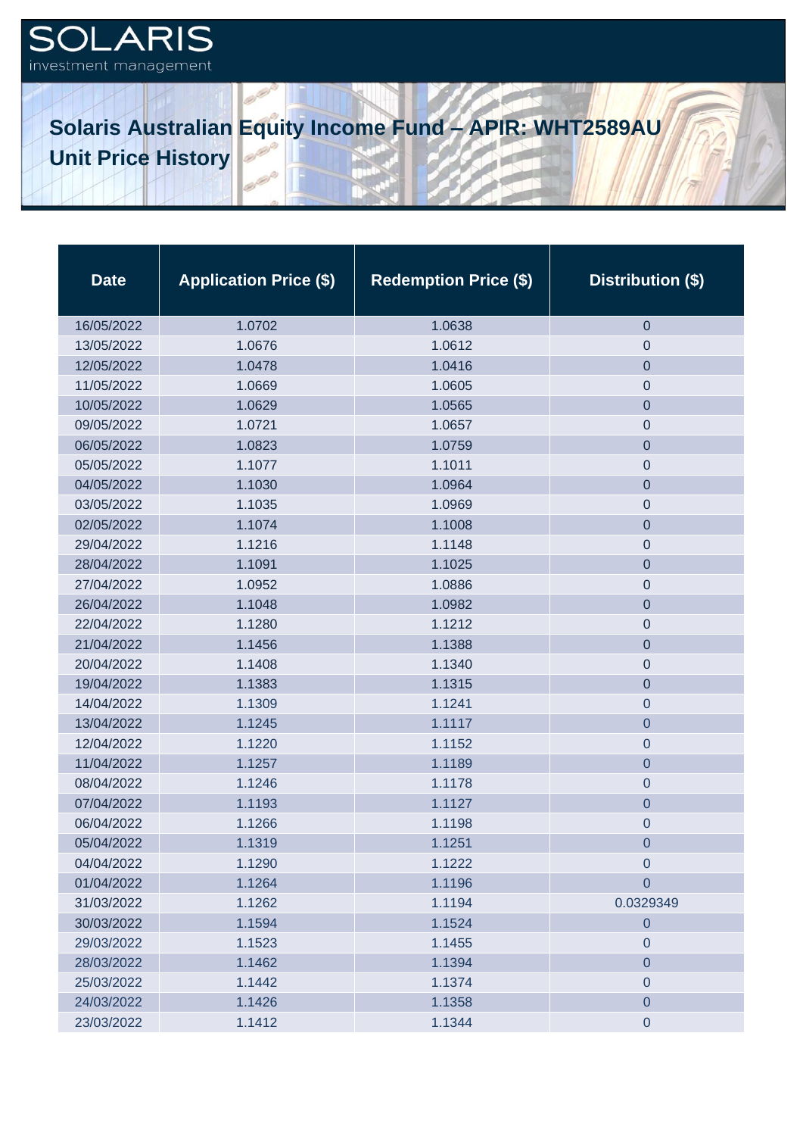## **SOLARIS** investment management

## **Solaris Australian Equity Income Fund – APIR: WHT2589AU Unit Price History**

| <b>Date</b> | <b>Application Price (\$)</b> | <b>Redemption Price (\$)</b> | Distribution (\$) |
|-------------|-------------------------------|------------------------------|-------------------|
| 16/05/2022  | 1.0702                        | 1.0638                       | $\mathbf 0$       |
| 13/05/2022  | 1.0676                        | 1.0612                       | $\mathbf 0$       |
| 12/05/2022  | 1.0478                        | 1.0416                       | $\mathbf 0$       |
| 11/05/2022  | 1.0669                        | 1.0605                       | $\boldsymbol{0}$  |
| 10/05/2022  | 1.0629                        | 1.0565                       | $\mathbf 0$       |
| 09/05/2022  | 1.0721                        | 1.0657                       | $\mathbf 0$       |
| 06/05/2022  | 1.0823                        | 1.0759                       | $\overline{0}$    |
| 05/05/2022  | 1.1077                        | 1.1011                       | $\mathbf 0$       |
| 04/05/2022  | 1.1030                        | 1.0964                       | $\mathbf 0$       |
| 03/05/2022  | 1.1035                        | 1.0969                       | $\mathbf 0$       |
| 02/05/2022  | 1.1074                        | 1.1008                       | $\mathbf 0$       |
| 29/04/2022  | 1.1216                        | 1.1148                       | $\mathbf 0$       |
| 28/04/2022  | 1.1091                        | 1.1025                       | $\mathbf 0$       |
| 27/04/2022  | 1.0952                        | 1.0886                       | $\mathbf 0$       |
| 26/04/2022  | 1.1048                        | 1.0982                       | $\mathbf 0$       |
| 22/04/2022  | 1.1280                        | 1.1212                       | $\mathbf 0$       |
| 21/04/2022  | 1.1456                        | 1.1388                       | $\mathbf 0$       |
| 20/04/2022  | 1.1408                        | 1.1340                       | $\mathbf 0$       |
| 19/04/2022  | 1.1383                        | 1.1315                       | $\mathbf 0$       |
| 14/04/2022  | 1.1309                        | 1.1241                       | $\mathbf 0$       |
| 13/04/2022  | 1.1245                        | 1.1117                       | $\overline{0}$    |
| 12/04/2022  | 1.1220                        | 1.1152                       | $\mathbf 0$       |
| 11/04/2022  | 1.1257                        | 1.1189                       | $\mathbf 0$       |
| 08/04/2022  | 1.1246                        | 1.1178                       | $\mathbf 0$       |
| 07/04/2022  | 1.1193                        | 1.1127                       | $\mathbf 0$       |
| 06/04/2022  | 1.1266                        | 1.1198                       | $\boldsymbol{0}$  |
| 05/04/2022  | 1.1319                        | 1.1251                       | 0                 |
| 04/04/2022  | 1.1290                        | 1.1222                       | $\mathbf 0$       |
| 01/04/2022  | 1.1264                        | 1.1196                       | $\overline{0}$    |
| 31/03/2022  | 1.1262                        | 1.1194                       | 0.0329349         |
| 30/03/2022  | 1.1594                        | 1.1524                       | $\mathbf 0$       |
| 29/03/2022  | 1.1523                        | 1.1455                       | $\mathbf 0$       |
| 28/03/2022  | 1.1462                        | 1.1394                       | $\overline{0}$    |
| 25/03/2022  | 1.1442                        | 1.1374                       | $\pmb{0}$         |
| 24/03/2022  | 1.1426                        | 1.1358                       | $\mathbf 0$       |
| 23/03/2022  | 1.1412                        | 1.1344                       | $\mathbf 0$       |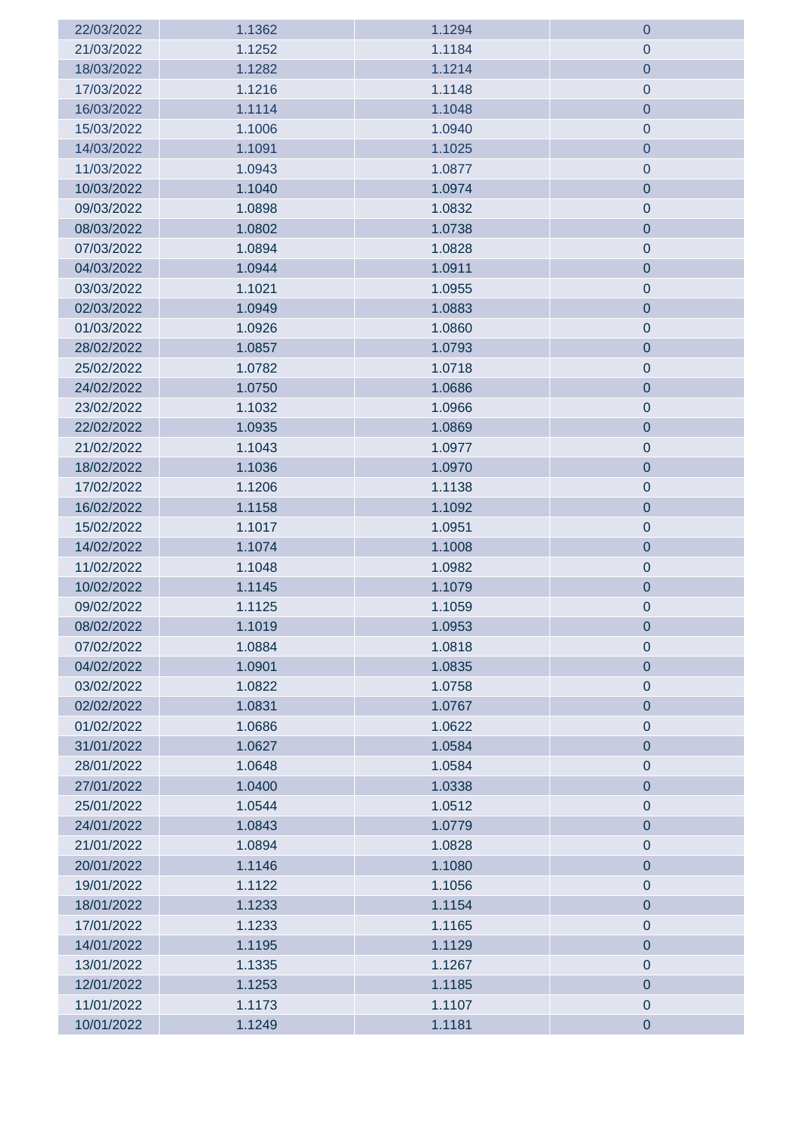| 22/03/2022 | 1.1362 | 1.1294 | $\mathbf 0$    |
|------------|--------|--------|----------------|
| 21/03/2022 | 1.1252 | 1.1184 | 0              |
| 18/03/2022 | 1.1282 | 1.1214 | $\overline{0}$ |
| 17/03/2022 | 1.1216 | 1.1148 | $\pmb{0}$      |
| 16/03/2022 | 1.1114 | 1.1048 | $\overline{0}$ |
| 15/03/2022 | 1.1006 | 1.0940 | $\pmb{0}$      |
| 14/03/2022 | 1.1091 | 1.1025 | $\mathbf 0$    |
| 11/03/2022 | 1.0943 | 1.0877 | $\pmb{0}$      |
| 10/03/2022 | 1.1040 | 1.0974 | $\pmb{0}$      |
| 09/03/2022 | 1.0898 | 1.0832 | $\pmb{0}$      |
| 08/03/2022 | 1.0802 | 1.0738 | $\pmb{0}$      |
| 07/03/2022 | 1.0894 | 1.0828 | $\pmb{0}$      |
| 04/03/2022 | 1.0944 | 1.0911 | $\pmb{0}$      |
| 03/03/2022 | 1.1021 | 1.0955 | $\pmb{0}$      |
| 02/03/2022 | 1.0949 | 1.0883 | $\pmb{0}$      |
| 01/03/2022 | 1.0926 | 1.0860 | $\pmb{0}$      |
| 28/02/2022 | 1.0857 | 1.0793 | $\mathbf 0$    |
| 25/02/2022 | 1.0782 | 1.0718 | $\pmb{0}$      |
| 24/02/2022 | 1.0750 | 1.0686 | $\mathbf 0$    |
| 23/02/2022 | 1.1032 | 1.0966 | $\pmb{0}$      |
| 22/02/2022 | 1.0935 | 1.0869 | $\mathbf 0$    |
| 21/02/2022 | 1.1043 | 1.0977 | $\pmb{0}$      |
| 18/02/2022 | 1.1036 | 1.0970 | $\pmb{0}$      |
| 17/02/2022 | 1.1206 | 1.1138 | $\pmb{0}$      |
| 16/02/2022 | 1.1158 | 1.1092 | $\mathbf 0$    |
| 15/02/2022 | 1.1017 | 1.0951 | $\pmb{0}$      |
| 14/02/2022 | 1.1074 | 1.1008 | $\pmb{0}$      |
| 11/02/2022 | 1.1048 | 1.0982 | $\pmb{0}$      |
| 10/02/2022 | 1.1145 | 1.1079 | $\pmb{0}$      |
| 09/02/2022 | 1.1125 | 1.1059 | $\pmb{0}$      |
| 08/02/2022 | 1.1019 | 1.0953 | 0              |
| 07/02/2022 | 1.0884 | 1.0818 | $\theta$       |
| 04/02/2022 | 1.0901 | 1.0835 | $\overline{0}$ |
| 03/02/2022 | 1.0822 | 1.0758 | $\pmb{0}$      |
| 02/02/2022 | 1.0831 | 1.0767 | $\pmb{0}$      |
| 01/02/2022 | 1.0686 | 1.0622 | $\pmb{0}$      |
| 31/01/2022 | 1.0627 | 1.0584 | $\mathbf 0$    |
| 28/01/2022 | 1.0648 | 1.0584 | $\pmb{0}$      |
| 27/01/2022 | 1.0400 | 1.0338 | $\pmb{0}$      |
| 25/01/2022 | 1.0544 | 1.0512 | $\pmb{0}$      |
| 24/01/2022 | 1.0843 | 1.0779 | $\mathbf 0$    |
| 21/01/2022 | 1.0894 | 1.0828 | $\overline{0}$ |
| 20/01/2022 | 1.1146 | 1.1080 | $\mathbf 0$    |
| 19/01/2022 | 1.1122 | 1.1056 | $\mathbf 0$    |
| 18/01/2022 | 1.1233 | 1.1154 | $\pmb{0}$      |
| 17/01/2022 | 1.1233 | 1.1165 | $\pmb{0}$      |
| 14/01/2022 | 1.1195 | 1.1129 | $\pmb{0}$      |
| 13/01/2022 | 1.1335 | 1.1267 | $\pmb{0}$      |
| 12/01/2022 | 1.1253 | 1.1185 | $\pmb{0}$      |
| 11/01/2022 | 1.1173 | 1.1107 | $\pmb{0}$      |
| 10/01/2022 | 1.1249 | 1.1181 | $\pmb{0}$      |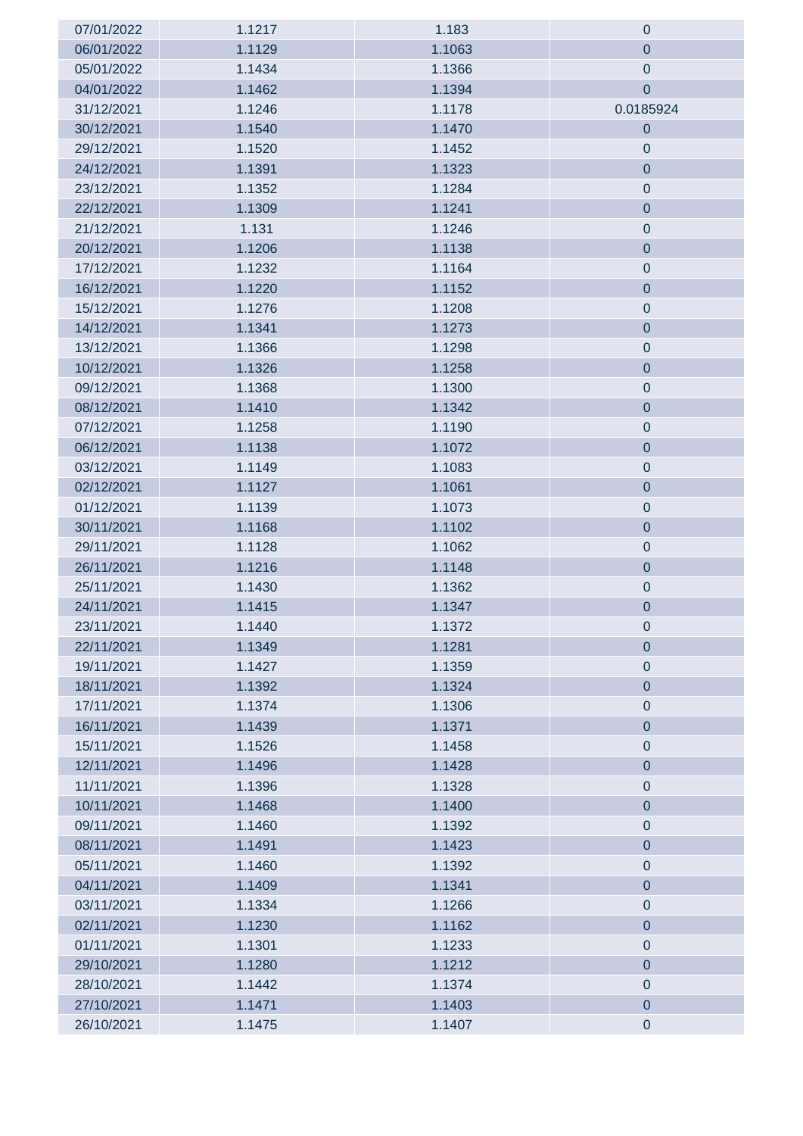| 07/01/2022 | 1.1217 | 1.183  | $\mathbf 0$      |
|------------|--------|--------|------------------|
| 06/01/2022 | 1.1129 | 1.1063 | $\mathbf 0$      |
| 05/01/2022 | 1.1434 | 1.1366 | $\mathbf 0$      |
| 04/01/2022 | 1.1462 | 1.1394 | $\mathbf 0$      |
| 31/12/2021 | 1.1246 | 1.1178 | 0.0185924        |
| 30/12/2021 | 1.1540 | 1.1470 | $\mathbf 0$      |
| 29/12/2021 | 1.1520 | 1.1452 | $\boldsymbol{0}$ |
| 24/12/2021 | 1.1391 | 1.1323 | $\mathbf 0$      |
| 23/12/2021 | 1.1352 | 1.1284 | $\pmb{0}$        |
| 22/12/2021 | 1.1309 | 1.1241 | $\pmb{0}$        |
| 21/12/2021 | 1.131  | 1.1246 | $\pmb{0}$        |
| 20/12/2021 | 1.1206 | 1.1138 | $\pmb{0}$        |
| 17/12/2021 | 1.1232 | 1.1164 | $\pmb{0}$        |
| 16/12/2021 | 1.1220 | 1.1152 | $\pmb{0}$        |
| 15/12/2021 | 1.1276 | 1.1208 | $\pmb{0}$        |
| 14/12/2021 | 1.1341 | 1.1273 | $\overline{0}$   |
| 13/12/2021 | 1.1366 | 1.1298 | $\pmb{0}$        |
| 10/12/2021 | 1.1326 | 1.1258 | $\overline{0}$   |
| 09/12/2021 | 1.1368 | 1.1300 | $\boldsymbol{0}$ |
| 08/12/2021 | 1.1410 | 1.1342 | $\overline{0}$   |
| 07/12/2021 | 1.1258 | 1.1190 | $\pmb{0}$        |
| 06/12/2021 | 1.1138 | 1.1072 | $\mathbf 0$      |
| 03/12/2021 | 1.1149 | 1.1083 | $\pmb{0}$        |
| 02/12/2021 | 1.1127 | 1.1061 | $\pmb{0}$        |
| 01/12/2021 | 1.1139 | 1.1073 | $\pmb{0}$        |
| 30/11/2021 | 1.1168 | 1.1102 | $\pmb{0}$        |
| 29/11/2021 | 1.1128 | 1.1062 | $\pmb{0}$        |
| 26/11/2021 | 1.1216 | 1.1148 | $\pmb{0}$        |
| 25/11/2021 | 1.1430 | 1.1362 | $\pmb{0}$        |
| 24/11/2021 | 1.1415 | 1.1347 | $\mathbf 0$      |
| 23/11/2021 | 1.1440 | 1.1372 | $\pmb{0}$        |
| 22/11/2021 | 1.1349 | 1.1281 | $\mathbf 0$      |
| 19/11/2021 | 1.1427 | 1.1359 | $\pmb{0}$        |
| 18/11/2021 | 1.1392 | 1.1324 | $\pmb{0}$        |
| 17/11/2021 | 1.1374 | 1.1306 | $\pmb{0}$        |
| 16/11/2021 | 1.1439 | 1.1371 | $\pmb{0}$        |
| 15/11/2021 | 1.1526 | 1.1458 | $\pmb{0}$        |
| 12/11/2021 | 1.1496 | 1.1428 | $\pmb{0}$        |
| 11/11/2021 | 1.1396 | 1.1328 | $\pmb{0}$        |
| 10/11/2021 | 1.1468 | 1.1400 | $\pmb{0}$        |
| 09/11/2021 | 1.1460 | 1.1392 | $\pmb{0}$        |
| 08/11/2021 | 1.1491 | 1.1423 | $\overline{0}$   |
| 05/11/2021 | 1.1460 | 1.1392 | $\pmb{0}$        |
| 04/11/2021 | 1.1409 | 1.1341 | $\overline{0}$   |
| 03/11/2021 | 1.1334 | 1.1266 | $\pmb{0}$        |
| 02/11/2021 | 1.1230 | 1.1162 | $\overline{0}$   |
| 01/11/2021 | 1.1301 | 1.1233 | $\pmb{0}$        |
| 29/10/2021 | 1.1280 | 1.1212 | $\pmb{0}$        |
| 28/10/2021 | 1.1442 | 1.1374 | $\pmb{0}$        |
| 27/10/2021 | 1.1471 | 1.1403 | $\pmb{0}$        |
| 26/10/2021 | 1.1475 | 1.1407 | $\pmb{0}$        |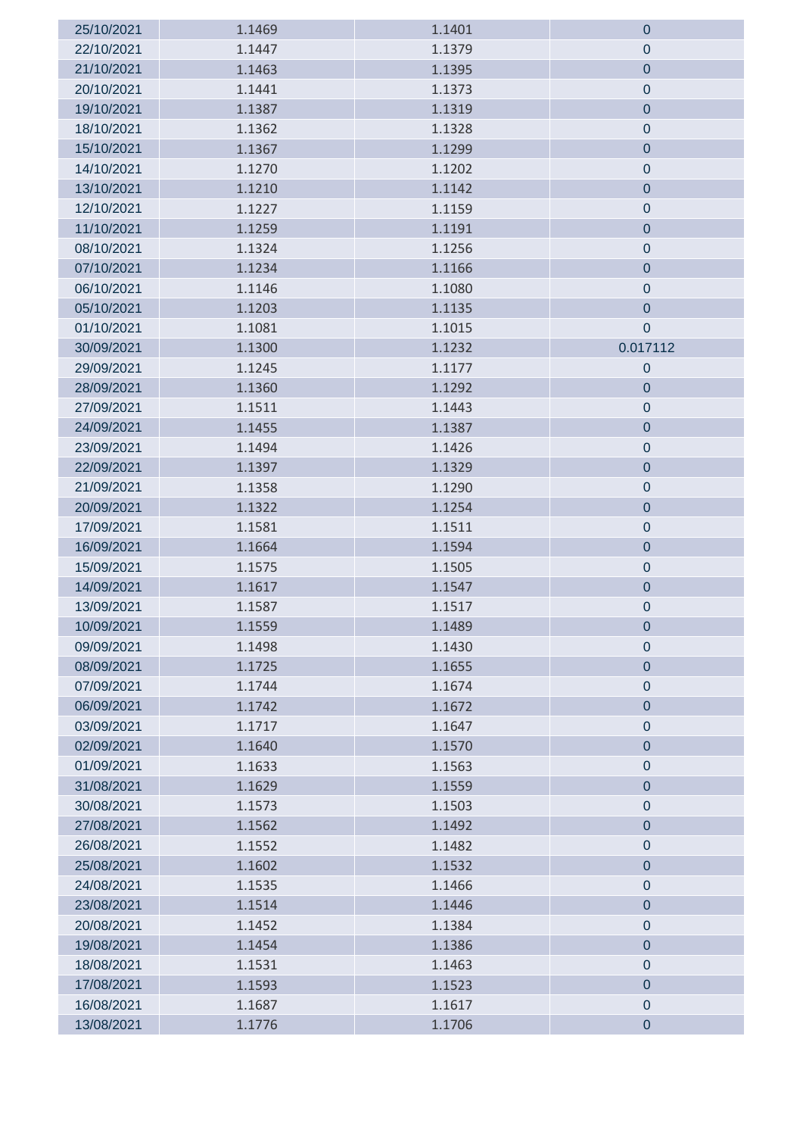| 25/10/2021 | 1.1469 | 1.1401 | 0              |
|------------|--------|--------|----------------|
| 22/10/2021 | 1.1447 | 1.1379 | $\theta$       |
| 21/10/2021 | 1.1463 | 1.1395 | $\mathbf 0$    |
| 20/10/2021 | 1.1441 | 1.1373 | $\pmb{0}$      |
| 19/10/2021 | 1.1387 | 1.1319 | $\overline{0}$ |
| 18/10/2021 | 1.1362 | 1.1328 | $\pmb{0}$      |
| 15/10/2021 | 1.1367 | 1.1299 | $\overline{0}$ |
| 14/10/2021 | 1.1270 | 1.1202 | $\pmb{0}$      |
| 13/10/2021 | 1.1210 | 1.1142 | $\overline{0}$ |
| 12/10/2021 | 1.1227 | 1.1159 | $\pmb{0}$      |
| 11/10/2021 | 1.1259 | 1.1191 | $\pmb{0}$      |
| 08/10/2021 | 1.1324 | 1.1256 | $\pmb{0}$      |
| 07/10/2021 | 1.1234 | 1.1166 | $\pmb{0}$      |
| 06/10/2021 | 1.1146 | 1.1080 | $\pmb{0}$      |
| 05/10/2021 | 1.1203 | 1.1135 | $\pmb{0}$      |
| 01/10/2021 | 1.1081 | 1.1015 | $\mathbf 0$    |
| 30/09/2021 | 1.1300 | 1.1232 | 0.017112       |
| 29/09/2021 | 1.1245 | 1.1177 | $\pmb{0}$      |
| 28/09/2021 | 1.1360 | 1.1292 | $\mathbf 0$    |
| 27/09/2021 | 1.1511 | 1.1443 | $\mathbf 0$    |
| 24/09/2021 | 1.1455 | 1.1387 | $\pmb{0}$      |
| 23/09/2021 | 1.1494 | 1.1426 | $\pmb{0}$      |
| 22/09/2021 | 1.1397 | 1.1329 | $\pmb{0}$      |
| 21/09/2021 | 1.1358 | 1.1290 | $\pmb{0}$      |
| 20/09/2021 | 1.1322 | 1.1254 | $\pmb{0}$      |
| 17/09/2021 | 1.1581 | 1.1511 | $\pmb{0}$      |
| 16/09/2021 | 1.1664 | 1.1594 | $\mathbf 0$    |
| 15/09/2021 | 1.1575 | 1.1505 | $\pmb{0}$      |
| 14/09/2021 | 1.1617 | 1.1547 | $\pmb{0}$      |
| 13/09/2021 | 1.1587 | 1.1517 | 0              |
| 10/09/2021 | 1.1559 | 1.1489 | 0              |
| 09/09/2021 | 1.1498 | 1.1430 | 0              |
| 08/09/2021 | 1.1725 | 1.1655 | $\overline{0}$ |
| 07/09/2021 | 1.1744 | 1.1674 | $\pmb{0}$      |
| 06/09/2021 | 1.1742 | 1.1672 | $\overline{0}$ |
| 03/09/2021 | 1.1717 | 1.1647 | $\pmb{0}$      |
| 02/09/2021 | 1.1640 | 1.1570 | $\pmb{0}$      |
| 01/09/2021 | 1.1633 | 1.1563 | $\pmb{0}$      |
| 31/08/2021 | 1.1629 | 1.1559 | $\pmb{0}$      |
| 30/08/2021 | 1.1573 | 1.1503 | $\pmb{0}$      |
| 27/08/2021 | 1.1562 | 1.1492 | $\pmb{0}$      |
| 26/08/2021 | 1.1552 | 1.1482 | $\pmb{0}$      |
| 25/08/2021 | 1.1602 | 1.1532 | $\pmb{0}$      |
| 24/08/2021 | 1.1535 | 1.1466 | $\mathbf 0$    |
| 23/08/2021 | 1.1514 | 1.1446 | $\pmb{0}$      |
| 20/08/2021 | 1.1452 | 1.1384 | $\pmb{0}$      |
| 19/08/2021 | 1.1454 | 1.1386 | $\pmb{0}$      |
| 18/08/2021 | 1.1531 | 1.1463 | $\pmb{0}$      |
| 17/08/2021 | 1.1593 | 1.1523 | $\pmb{0}$      |
| 16/08/2021 | 1.1687 | 1.1617 | $\pmb{0}$      |
| 13/08/2021 | 1.1776 | 1.1706 | $\pmb{0}$      |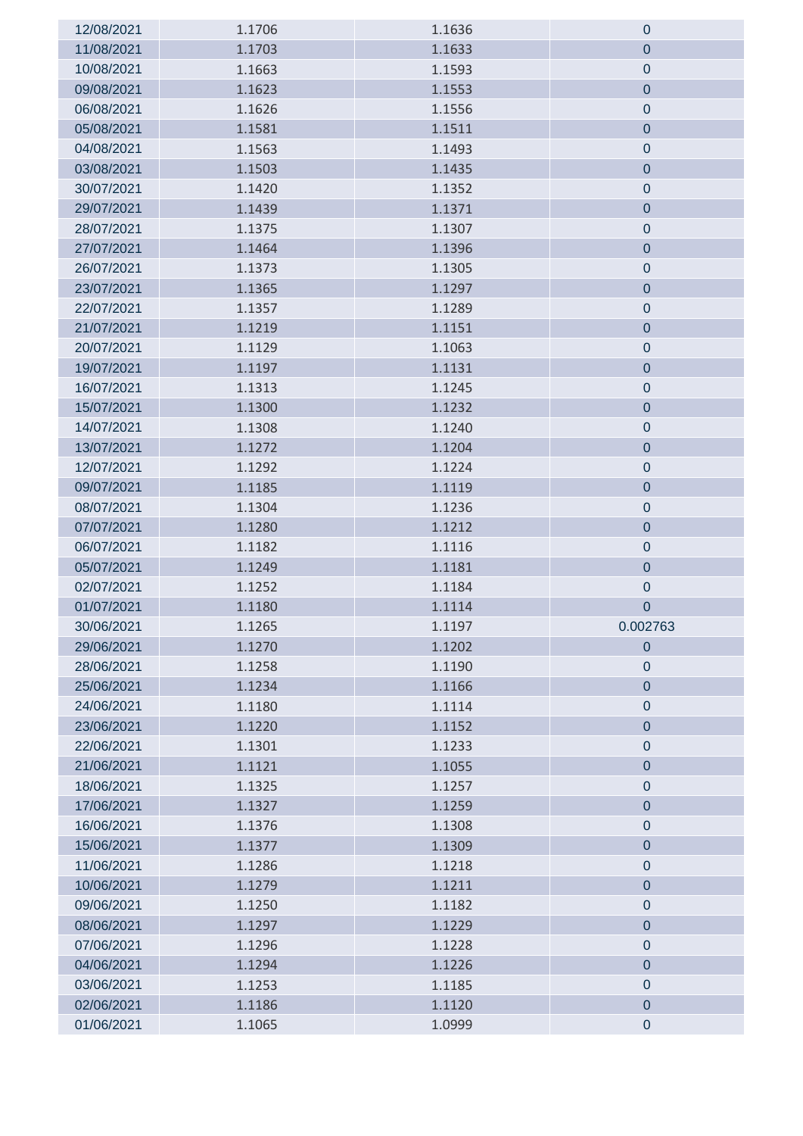| 12/08/2021 | 1.1706 | 1.1636 | $\mathbf 0$      |
|------------|--------|--------|------------------|
| 11/08/2021 | 1.1703 | 1.1633 | $\mathbf 0$      |
| 10/08/2021 | 1.1663 | 1.1593 | $\pmb{0}$        |
| 09/08/2021 | 1.1623 | 1.1553 | $\mathbf 0$      |
| 06/08/2021 | 1.1626 | 1.1556 | $\pmb{0}$        |
| 05/08/2021 | 1.1581 | 1.1511 | $\mathbf 0$      |
| 04/08/2021 | 1.1563 | 1.1493 | $\mathbf 0$      |
| 03/08/2021 | 1.1503 | 1.1435 | $\mathbf 0$      |
| 30/07/2021 | 1.1420 | 1.1352 | $\mathbf 0$      |
| 29/07/2021 | 1.1439 | 1.1371 | $\pmb{0}$        |
| 28/07/2021 | 1.1375 | 1.1307 | $\pmb{0}$        |
| 27/07/2021 | 1.1464 | 1.1396 | $\pmb{0}$        |
| 26/07/2021 | 1.1373 | 1.1305 | $\pmb{0}$        |
| 23/07/2021 | 1.1365 | 1.1297 | $\pmb{0}$        |
| 22/07/2021 | 1.1357 | 1.1289 | $\pmb{0}$        |
| 21/07/2021 | 1.1219 | 1.1151 | $\overline{0}$   |
| 20/07/2021 | 1.1129 | 1.1063 | $\pmb{0}$        |
| 19/07/2021 | 1.1197 | 1.1131 | $\mathbf 0$      |
| 16/07/2021 | 1.1313 | 1.1245 | $\boldsymbol{0}$ |
| 15/07/2021 | 1.1300 | 1.1232 | $\mathbf 0$      |
| 14/07/2021 | 1.1308 | 1.1240 | $\pmb{0}$        |
| 13/07/2021 | 1.1272 | 1.1204 | $\mathbf 0$      |
| 12/07/2021 | 1.1292 | 1.1224 | $\pmb{0}$        |
| 09/07/2021 | 1.1185 | 1.1119 | $\pmb{0}$        |
| 08/07/2021 | 1.1304 | 1.1236 | $\pmb{0}$        |
| 07/07/2021 | 1.1280 | 1.1212 | $\pmb{0}$        |
| 06/07/2021 | 1.1182 | 1.1116 | $\pmb{0}$        |
| 05/07/2021 | 1.1249 | 1.1181 | $\mathbf 0$      |
| 02/07/2021 | 1.1252 | 1.1184 | $\pmb{0}$        |
| 01/07/2021 | 1.1180 | 1.1114 | 0                |
| 30/06/2021 | 1.1265 | 1.1197 | 0.002763         |
| 29/06/2021 | 1.1270 | 1.1202 | $\mathbf 0$      |
| 28/06/2021 | 1.1258 | 1.1190 | $\mathbf 0$      |
| 25/06/2021 | 1.1234 | 1.1166 | $\pmb{0}$        |
| 24/06/2021 | 1.1180 | 1.1114 | $\pmb{0}$        |
| 23/06/2021 | 1.1220 | 1.1152 | $\pmb{0}$        |
| 22/06/2021 | 1.1301 | 1.1233 | $\pmb{0}$        |
| 21/06/2021 | 1.1121 | 1.1055 | $\pmb{0}$        |
| 18/06/2021 | 1.1325 | 1.1257 | $\pmb{0}$        |
| 17/06/2021 | 1.1327 | 1.1259 | $\pmb{0}$        |
| 16/06/2021 | 1.1376 | 1.1308 | $\pmb{0}$        |
| 15/06/2021 | 1.1377 | 1.1309 | $\overline{0}$   |
| 11/06/2021 | 1.1286 | 1.1218 | $\pmb{0}$        |
| 10/06/2021 | 1.1279 | 1.1211 | $\overline{0}$   |
| 09/06/2021 | 1.1250 | 1.1182 | $\pmb{0}$        |
| 08/06/2021 | 1.1297 | 1.1229 | $\overline{0}$   |
| 07/06/2021 | 1.1296 | 1.1228 | $\pmb{0}$        |
| 04/06/2021 | 1.1294 | 1.1226 | $\pmb{0}$        |
| 03/06/2021 | 1.1253 | 1.1185 | $\pmb{0}$        |
| 02/06/2021 | 1.1186 | 1.1120 | $\pmb{0}$        |
| 01/06/2021 | 1.1065 | 1.0999 | $\pmb{0}$        |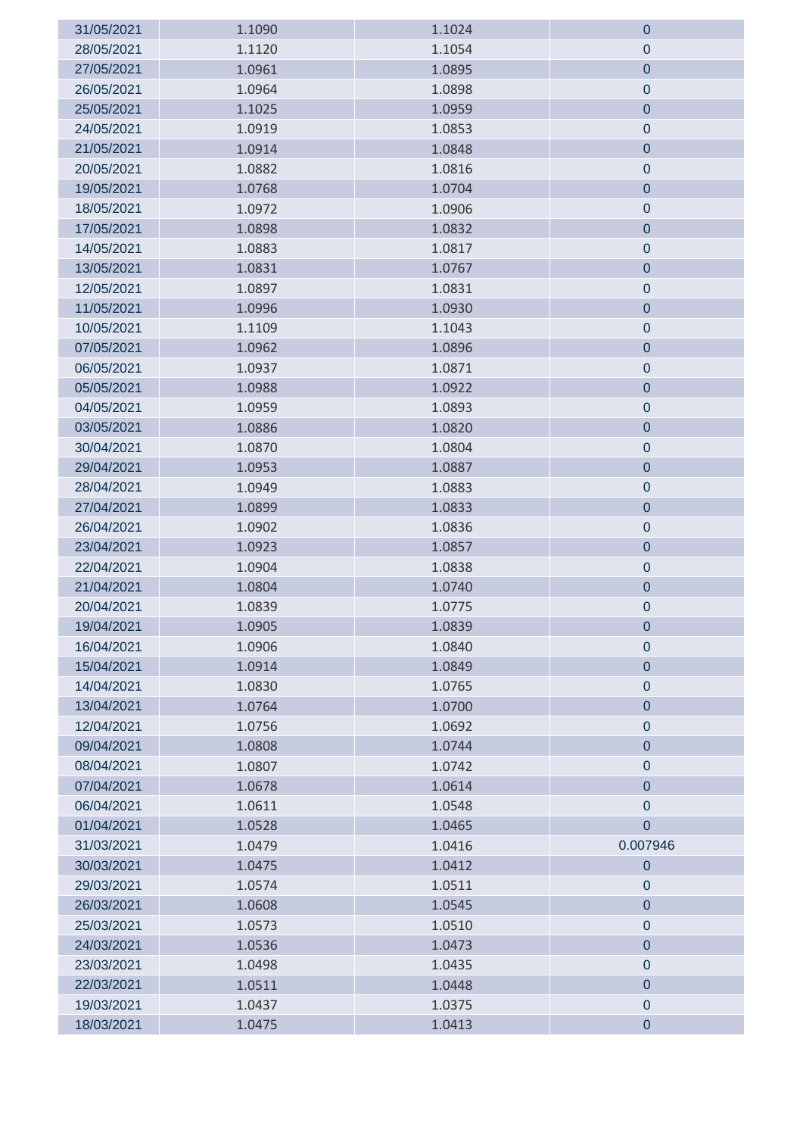| 31/05/2021 | 1.1090 | 1.1024 | $\mathbf 0$      |
|------------|--------|--------|------------------|
| 28/05/2021 | 1.1120 | 1.1054 | 0                |
| 27/05/2021 | 1.0961 | 1.0895 | $\pmb{0}$        |
| 26/05/2021 | 1.0964 | 1.0898 | $\pmb{0}$        |
| 25/05/2021 | 1.1025 | 1.0959 | $\pmb{0}$        |
| 24/05/2021 | 1.0919 | 1.0853 | $\pmb{0}$        |
| 21/05/2021 | 1.0914 | 1.0848 | $\overline{0}$   |
| 20/05/2021 | 1.0882 | 1.0816 | $\pmb{0}$        |
| 19/05/2021 | 1.0768 | 1.0704 | $\overline{0}$   |
| 18/05/2021 | 1.0972 | 1.0906 | $\pmb{0}$        |
| 17/05/2021 | 1.0898 | 1.0832 | $\mathbf 0$      |
| 14/05/2021 | 1.0883 | 1.0817 | $\pmb{0}$        |
| 13/05/2021 | 1.0831 | 1.0767 | $\pmb{0}$        |
| 12/05/2021 | 1.0897 | 1.0831 | $\pmb{0}$        |
| 11/05/2021 | 1.0996 | 1.0930 | $\pmb{0}$        |
| 10/05/2021 | 1.1109 | 1.1043 | $\pmb{0}$        |
| 07/05/2021 | 1.0962 | 1.0896 | $\pmb{0}$        |
| 06/05/2021 | 1.0937 | 1.0871 | $\pmb{0}$        |
| 05/05/2021 | 1.0988 | 1.0922 | $\pmb{0}$        |
| 04/05/2021 | 1.0959 | 1.0893 | $\pmb{0}$        |
| 03/05/2021 | 1.0886 | 1.0820 | $\mathbf 0$      |
| 30/04/2021 | 1.0870 | 1.0804 | $\pmb{0}$        |
| 29/04/2021 | 1.0953 | 1.0887 | $\pmb{0}$        |
| 28/04/2021 | 1.0949 | 1.0883 | $\pmb{0}$        |
| 27/04/2021 | 1.0899 | 1.0833 | $\pmb{0}$        |
| 26/04/2021 | 1.0902 | 1.0836 | $\pmb{0}$        |
| 23/04/2021 | 1.0923 | 1.0857 | $\pmb{0}$        |
| 22/04/2021 | 1.0904 | 1.0838 | $\pmb{0}$        |
| 21/04/2021 | 1.0804 | 1.0740 | $\pmb{0}$        |
| 20/04/2021 | 1.0839 | 1.0775 | $\pmb{0}$        |
| 19/04/2021 | 1.0905 | 1.0839 | 0                |
| 16/04/2021 | 1.0906 | 1.0840 | $\mathbf 0$      |
| 15/04/2021 | 1.0914 | 1.0849 | $\overline{0}$   |
| 14/04/2021 | 1.0830 | 1.0765 | $\pmb{0}$        |
| 13/04/2021 | 1.0764 | 1.0700 | $\overline{0}$   |
| 12/04/2021 | 1.0756 | 1.0692 | $\pmb{0}$        |
| 09/04/2021 | 1.0808 | 1.0744 | $\pmb{0}$        |
| 08/04/2021 | 1.0807 | 1.0742 | $\pmb{0}$        |
| 07/04/2021 | 1.0678 | 1.0614 | $\pmb{0}$        |
| 06/04/2021 | 1.0611 | 1.0548 | $\pmb{0}$        |
| 01/04/2021 | 1.0528 | 1.0465 | $\mathbf 0$      |
| 31/03/2021 | 1.0479 | 1.0416 | 0.007946         |
| 30/03/2021 | 1.0475 | 1.0412 | $\mathbf 0$      |
| 29/03/2021 | 1.0574 | 1.0511 | $\boldsymbol{0}$ |
| 26/03/2021 | 1.0608 | 1.0545 | $\overline{0}$   |
| 25/03/2021 | 1.0573 | 1.0510 | $\mathbf 0$      |
| 24/03/2021 | 1.0536 | 1.0473 | $\pmb{0}$        |
| 23/03/2021 | 1.0498 | 1.0435 | $\pmb{0}$        |
| 22/03/2021 | 1.0511 | 1.0448 | $\pmb{0}$        |
| 19/03/2021 | 1.0437 | 1.0375 | $\pmb{0}$        |
| 18/03/2021 | 1.0475 | 1.0413 | $\pmb{0}$        |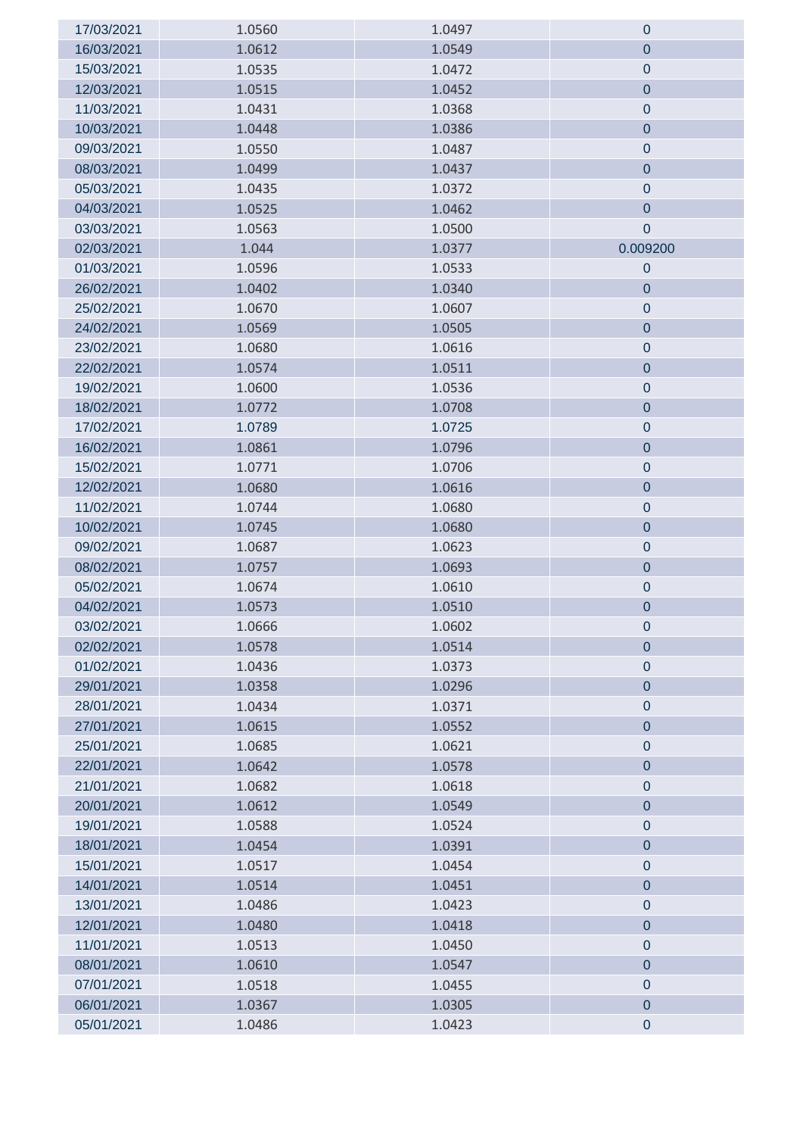| 17/03/2021 | 1.0560 | 1.0497 | $\mathbf 0$      |
|------------|--------|--------|------------------|
| 16/03/2021 | 1.0612 | 1.0549 | $\mathbf 0$      |
| 15/03/2021 | 1.0535 | 1.0472 | $\mathbf 0$      |
| 12/03/2021 | 1.0515 | 1.0452 | $\pmb{0}$        |
| 11/03/2021 | 1.0431 | 1.0368 | $\pmb{0}$        |
| 10/03/2021 | 1.0448 | 1.0386 | $\pmb{0}$        |
| 09/03/2021 | 1.0550 | 1.0487 | $\mathbf 0$      |
| 08/03/2021 | 1.0499 | 1.0437 | $\pmb{0}$        |
| 05/03/2021 | 1.0435 | 1.0372 | $\pmb{0}$        |
| 04/03/2021 | 1.0525 | 1.0462 | $\pmb{0}$        |
| 03/03/2021 | 1.0563 | 1.0500 | $\boldsymbol{0}$ |
| 02/03/2021 | 1.044  | 1.0377 | 0.009200         |
| 01/03/2021 | 1.0596 | 1.0533 | $\mathbf 0$      |
| 26/02/2021 | 1.0402 | 1.0340 | $\mathbf 0$      |
| 25/02/2021 | 1.0670 | 1.0607 | $\mathbf 0$      |
| 24/02/2021 | 1.0569 | 1.0505 | $\pmb{0}$        |
| 23/02/2021 | 1.0680 | 1.0616 | $\mathbf 0$      |
| 22/02/2021 | 1.0574 | 1.0511 | $\pmb{0}$        |
| 19/02/2021 | 1.0600 | 1.0536 | $\mathbf 0$      |
| 18/02/2021 | 1.0772 | 1.0708 | $\overline{0}$   |
| 17/02/2021 | 1.0789 | 1.0725 | $\pmb{0}$        |
| 16/02/2021 | 1.0861 | 1.0796 | $\pmb{0}$        |
| 15/02/2021 | 1.0771 | 1.0706 | $\pmb{0}$        |
| 12/02/2021 | 1.0680 | 1.0616 | $\pmb{0}$        |
| 11/02/2021 | 1.0744 | 1.0680 | $\pmb{0}$        |
| 10/02/2021 | 1.0745 | 1.0680 | $\pmb{0}$        |
| 09/02/2021 | 1.0687 | 1.0623 | $\pmb{0}$        |
| 08/02/2021 | 1.0757 | 1.0693 | $\pmb{0}$        |
| 05/02/2021 | 1.0674 | 1.0610 | $\pmb{0}$        |
| 04/02/2021 | 1.0573 | 1.0510 | $\mathbf 0$      |
| 03/02/2021 | 1.0666 | 1.0602 | 0                |
| 02/02/2021 | 1.0578 | 1.0514 | $\mathbf 0$      |
| 01/02/2021 | 1.0436 | 1.0373 | $\pmb{0}$        |
| 29/01/2021 | 1.0358 | 1.0296 | $\pmb{0}$        |
| 28/01/2021 | 1.0434 | 1.0371 | $\pmb{0}$        |
| 27/01/2021 | 1.0615 | 1.0552 | $\pmb{0}$        |
| 25/01/2021 | 1.0685 | 1.0621 | $\pmb{0}$        |
| 22/01/2021 | 1.0642 | 1.0578 | $\pmb{0}$        |
| 21/01/2021 | 1.0682 | 1.0618 | $\pmb{0}$        |
| 20/01/2021 | 1.0612 | 1.0549 | $\pmb{0}$        |
| 19/01/2021 | 1.0588 | 1.0524 | $\pmb{0}$        |
| 18/01/2021 | 1.0454 | 1.0391 | $\pmb{0}$        |
| 15/01/2021 | 1.0517 | 1.0454 | $\pmb{0}$        |
| 14/01/2021 | 1.0514 | 1.0451 | $\overline{0}$   |
| 13/01/2021 | 1.0486 | 1.0423 | $\pmb{0}$        |
| 12/01/2021 | 1.0480 | 1.0418 | $\overline{0}$   |
| 11/01/2021 | 1.0513 | 1.0450 | $\pmb{0}$        |
| 08/01/2021 | 1.0610 | 1.0547 | $\pmb{0}$        |
| 07/01/2021 | 1.0518 | 1.0455 | $\pmb{0}$        |
| 06/01/2021 | 1.0367 | 1.0305 | $\pmb{0}$        |
| 05/01/2021 | 1.0486 | 1.0423 | $\pmb{0}$        |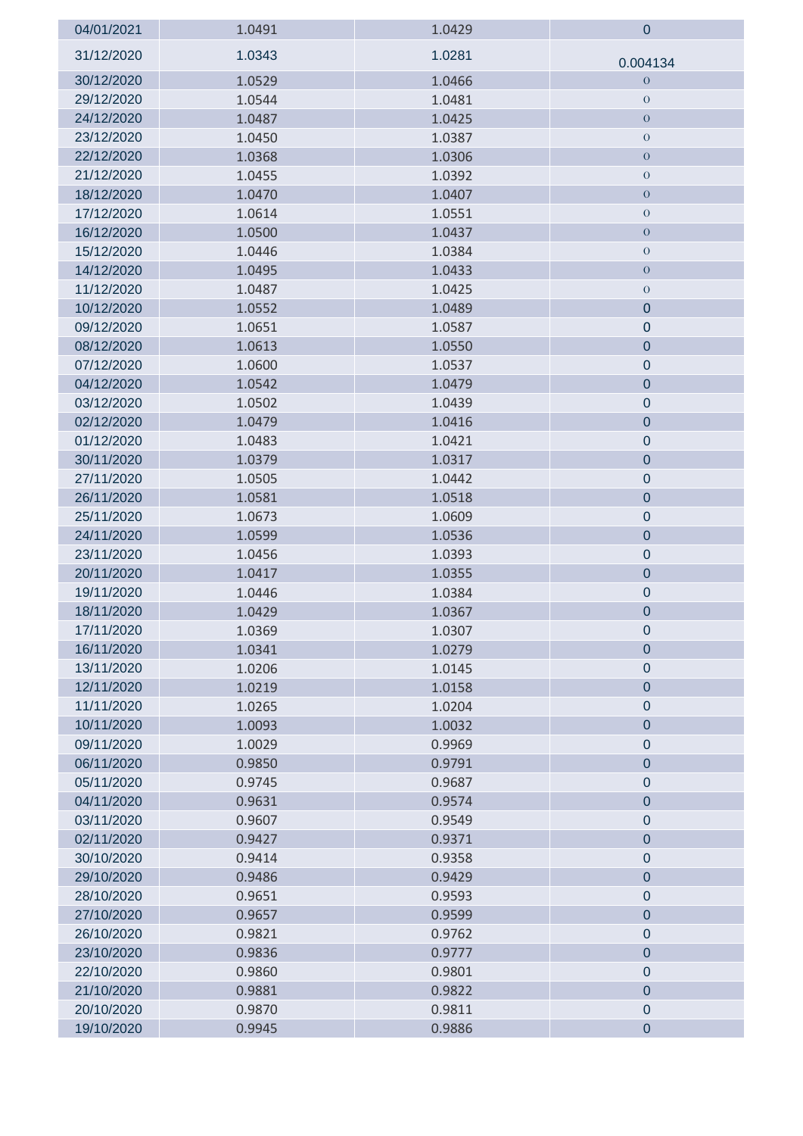| 04/01/2021               | 1.0491           | 1.0429           | $\mathbf 0$            |
|--------------------------|------------------|------------------|------------------------|
| 31/12/2020               | 1.0343           | 1.0281           | 0.004134               |
| 30/12/2020               | 1.0529           | 1.0466           | $\mathbf{O}$           |
| 29/12/2020               | 1.0544           | 1.0481           | $\mathbf{O}$           |
| 24/12/2020               | 1.0487           | 1.0425           | $\boldsymbol{0}$       |
| 23/12/2020               | 1.0450           | 1.0387           | $\theta$               |
| 22/12/2020               | 1.0368           | 1.0306           | $\overline{O}$         |
| 21/12/2020               | 1.0455           | 1.0392           | $\boldsymbol{0}$       |
| 18/12/2020               | 1.0470           | 1.0407           | $\boldsymbol{0}$       |
| 17/12/2020               | 1.0614           | 1.0551           | $\boldsymbol{0}$       |
| 16/12/2020               | 1.0500           | 1.0437           | $\boldsymbol{0}$       |
| 15/12/2020               | 1.0446           | 1.0384           | $\boldsymbol{0}$       |
| 14/12/2020               | 1.0495           | 1.0433           | $\boldsymbol{0}$       |
| 11/12/2020               | 1.0487           | 1.0425           | $\boldsymbol{0}$       |
| 10/12/2020               | 1.0552           | 1.0489           | $\mathbf 0$            |
| 09/12/2020               | 1.0651           | 1.0587           | $\pmb{0}$              |
| 08/12/2020               | 1.0613           | 1.0550           | $\mathbf 0$            |
| 07/12/2020               | 1.0600           | 1.0537           | $\pmb{0}$              |
| 04/12/2020               | 1.0542           | 1.0479           | $\pmb{0}$              |
| 03/12/2020               | 1.0502           | 1.0439           | $\boldsymbol{0}$       |
| 02/12/2020               | 1.0479           | 1.0416           | $\mathbf 0$            |
| 01/12/2020               | 1.0483           | 1.0421           | $\pmb{0}$              |
| 30/11/2020               | 1.0379           | 1.0317           | $\pmb{0}$              |
| 27/11/2020               | 1.0505           | 1.0442           | $\pmb{0}$              |
| 26/11/2020               | 1.0581           | 1.0518           | $\pmb{0}$              |
| 25/11/2020               | 1.0673           | 1.0609           | $\boldsymbol{0}$       |
| 24/11/2020               | 1.0599           | 1.0536           | $\overline{0}$         |
| 23/11/2020               | 1.0456           | 1.0393           | $\pmb{0}$              |
| 20/11/2020               | 1.0417           | 1.0355           | $\pmb{0}$              |
| 19/11/2020               | 1.0446           | 1.0384           | $\pmb{0}$              |
| 18/11/2020               | 1.0429           | 1.0367           | $\mathbf 0$            |
| 17/11/2020               | 1.0369           | 1.0307           | $\mathbf 0$            |
| 16/11/2020               | 1.0341           | 1.0279           | $\overline{0}$         |
| 13/11/2020               | 1.0206           | 1.0145           | $\pmb{0}$              |
| 12/11/2020               | 1.0219           | 1.0158           | $\pmb{0}$              |
| 11/11/2020               | 1.0265           | 1.0204           | $\pmb{0}$              |
| 10/11/2020               | 1.0093           | 1.0032           | $\pmb{0}$              |
| 09/11/2020               | 1.0029           | 0.9969           | $\pmb{0}$              |
| 06/11/2020               | 0.9850           | 0.9791           | $\mathbf 0$            |
| 05/11/2020               | 0.9745           | 0.9687           | $\mathbf 0$            |
| 04/11/2020<br>03/11/2020 | 0.9631           | 0.9574           | $\pmb{0}$<br>$\pmb{0}$ |
| 02/11/2020               | 0.9607<br>0.9427 | 0.9549<br>0.9371 | $\pmb{0}$              |
| 30/10/2020               | 0.9414           | 0.9358           | $\pmb{0}$              |
| 29/10/2020               |                  | 0.9429           | $\pmb{0}$              |
| 28/10/2020               | 0.9486<br>0.9651 | 0.9593           | $\mathbf 0$            |
| 27/10/2020               | 0.9657           | 0.9599           | $\pmb{0}$              |
| 26/10/2020               | 0.9821           | 0.9762           | $\pmb{0}$              |
| 23/10/2020               | 0.9836           | 0.9777           | $\overline{0}$         |
| 22/10/2020               | 0.9860           | 0.9801           | $\pmb{0}$              |
| 21/10/2020               | 0.9881           | 0.9822           | $\pmb{0}$              |
| 20/10/2020               | 0.9870           | 0.9811           | $\pmb{0}$              |
| 19/10/2020               | 0.9945           | 0.9886           | $\pmb{0}$              |
|                          |                  |                  |                        |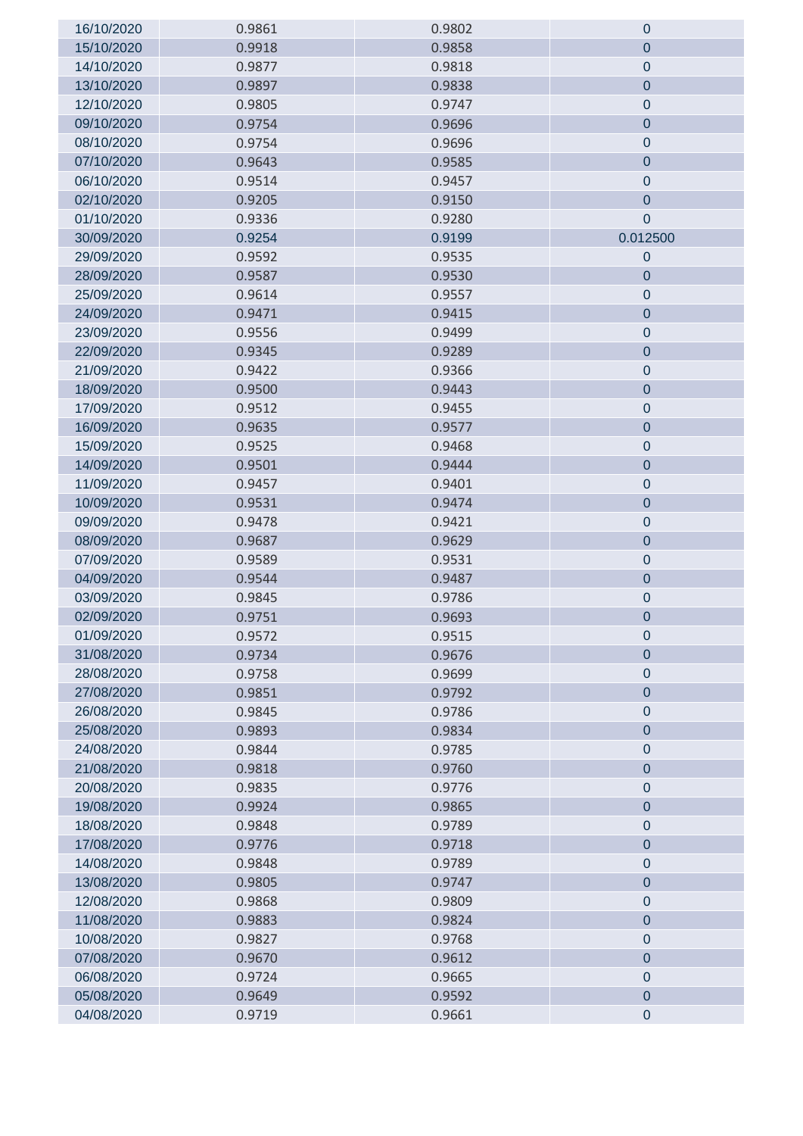| 16/10/2020 | 0.9861 | 0.9802 | $\mathbf 0$      |
|------------|--------|--------|------------------|
| 15/10/2020 | 0.9918 | 0.9858 | $\mathbf 0$      |
| 14/10/2020 | 0.9877 | 0.9818 | $\mathbf 0$      |
| 13/10/2020 | 0.9897 | 0.9838 | $\mathbf 0$      |
| 12/10/2020 | 0.9805 | 0.9747 | $\pmb{0}$        |
| 09/10/2020 | 0.9754 | 0.9696 | $\pmb{0}$        |
| 08/10/2020 | 0.9754 | 0.9696 | $\pmb{0}$        |
| 07/10/2020 | 0.9643 | 0.9585 | $\mathbf 0$      |
| 06/10/2020 | 0.9514 | 0.9457 | $\pmb{0}$        |
| 02/10/2020 | 0.9205 | 0.9150 | $\pmb{0}$        |
| 01/10/2020 | 0.9336 | 0.9280 | $\boldsymbol{0}$ |
| 30/09/2020 | 0.9254 | 0.9199 | 0.012500         |
| 29/09/2020 | 0.9592 | 0.9535 | $\pmb{0}$        |
| 28/09/2020 | 0.9587 | 0.9530 | 0                |
| 25/09/2020 | 0.9614 | 0.9557 | $\pmb{0}$        |
| 24/09/2020 | 0.9471 | 0.9415 | $\pmb{0}$        |
| 23/09/2020 | 0.9556 | 0.9499 | $\pmb{0}$        |
| 22/09/2020 | 0.9345 | 0.9289 | $\mathbf 0$      |
| 21/09/2020 | 0.9422 | 0.9366 | $\pmb{0}$        |
| 18/09/2020 | 0.9500 | 0.9443 | $\pmb{0}$        |
| 17/09/2020 | 0.9512 | 0.9455 | $\pmb{0}$        |
| 16/09/2020 | 0.9635 | 0.9577 | $\pmb{0}$        |
| 15/09/2020 | 0.9525 | 0.9468 | $\pmb{0}$        |
| 14/09/2020 | 0.9501 | 0.9444 | $\overline{0}$   |
| 11/09/2020 | 0.9457 | 0.9401 | $\mathbf 0$      |
| 10/09/2020 | 0.9531 | 0.9474 | $\pmb{0}$        |
| 09/09/2020 | 0.9478 | 0.9421 | $\pmb{0}$        |
| 08/09/2020 | 0.9687 | 0.9629 | $\pmb{0}$        |
| 07/09/2020 | 0.9589 | 0.9531 | $\pmb{0}$        |
| 04/09/2020 | 0.9544 | 0.9487 | $\pmb{0}$        |
| 03/09/2020 | 0.9845 | 0.9786 | $\pmb{0}$        |
| 02/09/2020 | 0.9751 | 0.9693 | $\pmb{0}$        |
| 01/09/2020 | 0.9572 | 0.9515 | $\mathbf 0$      |
| 31/08/2020 | 0.9734 | 0.9676 | $\mathbf 0$      |
| 28/08/2020 | 0.9758 | 0.9699 | $\mathbf 0$      |
| 27/08/2020 | 0.9851 | 0.9792 | $\mathbf 0$      |
| 26/08/2020 | 0.9845 | 0.9786 | $\mathbf 0$      |
| 25/08/2020 | 0.9893 | 0.9834 | $\pmb{0}$        |
| 24/08/2020 | 0.9844 | 0.9785 | $\pmb{0}$        |
| 21/08/2020 | 0.9818 | 0.9760 | $\pmb{0}$        |
| 20/08/2020 | 0.9835 | 0.9776 | $\pmb{0}$        |
| 19/08/2020 | 0.9924 | 0.9865 | $\pmb{0}$        |
| 18/08/2020 | 0.9848 | 0.9789 | $\pmb{0}$        |
| 17/08/2020 | 0.9776 | 0.9718 | $\overline{0}$   |
| 14/08/2020 | 0.9848 | 0.9789 | $\pmb{0}$        |
| 13/08/2020 | 0.9805 | 0.9747 | $\pmb{0}$        |
| 12/08/2020 | 0.9868 | 0.9809 | $\mathbf 0$      |
| 11/08/2020 | 0.9883 | 0.9824 | $\pmb{0}$        |
| 10/08/2020 | 0.9827 | 0.9768 | $\pmb{0}$        |
| 07/08/2020 | 0.9670 | 0.9612 | $\overline{0}$   |
| 06/08/2020 | 0.9724 | 0.9665 | $\pmb{0}$        |
| 05/08/2020 | 0.9649 | 0.9592 | $\pmb{0}$        |
| 04/08/2020 | 0.9719 | 0.9661 | $\pmb{0}$        |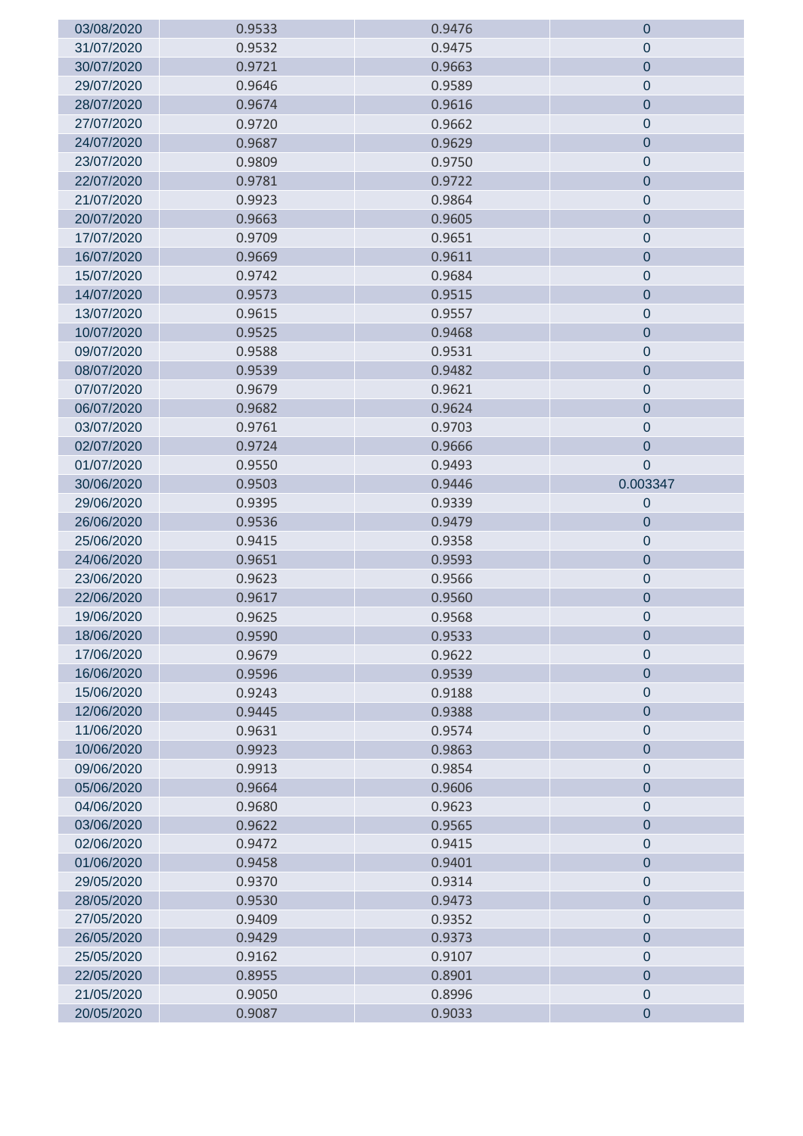| 03/08/2020 | 0.9533 | 0.9476 | $\mathbf 0$      |
|------------|--------|--------|------------------|
| 31/07/2020 | 0.9532 | 0.9475 | 0                |
| 30/07/2020 | 0.9721 | 0.9663 | $\mathbf 0$      |
| 29/07/2020 | 0.9646 | 0.9589 | $\pmb{0}$        |
| 28/07/2020 | 0.9674 | 0.9616 | $\mathbf 0$      |
| 27/07/2020 | 0.9720 | 0.9662 | $\pmb{0}$        |
| 24/07/2020 | 0.9687 | 0.9629 | $\pmb{0}$        |
| 23/07/2020 | 0.9809 | 0.9750 | $\boldsymbol{0}$ |
| 22/07/2020 | 0.9781 | 0.9722 | $\mathbf 0$      |
| 21/07/2020 | 0.9923 | 0.9864 | $\pmb{0}$        |
| 20/07/2020 | 0.9663 | 0.9605 | $\pmb{0}$        |
| 17/07/2020 | 0.9709 | 0.9651 | $\pmb{0}$        |
| 16/07/2020 | 0.9669 | 0.9611 | $\pmb{0}$        |
| 15/07/2020 | 0.9742 | 0.9684 | $\boldsymbol{0}$ |
| 14/07/2020 | 0.9573 | 0.9515 | $\mathbf 0$      |
| 13/07/2020 | 0.9615 | 0.9557 | $\pmb{0}$        |
| 10/07/2020 | 0.9525 | 0.9468 | $\pmb{0}$        |
| 09/07/2020 | 0.9588 | 0.9531 | $\pmb{0}$        |
| 08/07/2020 | 0.9539 | 0.9482 | $\pmb{0}$        |
| 07/07/2020 | 0.9679 | 0.9621 | $\overline{0}$   |
| 06/07/2020 | 0.9682 | 0.9624 | $\overline{0}$   |
| 03/07/2020 | 0.9761 | 0.9703 | $\mathbf 0$      |
| 02/07/2020 | 0.9724 | 0.9666 | $\pmb{0}$        |
| 01/07/2020 | 0.9550 | 0.9493 | $\overline{0}$   |
| 30/06/2020 | 0.9503 | 0.9446 | 0.003347         |
| 29/06/2020 | 0.9395 | 0.9339 | $\mathbf 0$      |
| 26/06/2020 | 0.9536 | 0.9479 | $\overline{0}$   |
| 25/06/2020 | 0.9415 | 0.9358 | $\mathbf 0$      |
| 24/06/2020 | 0.9651 | 0.9593 | $\pmb{0}$        |
| 23/06/2020 | 0.9623 | 0.9566 | $\pmb{0}$        |
| 22/06/2020 | 0.9617 | 0.9560 | $\pmb{0}$        |
| 19/06/2020 | 0.9625 | 0.9568 | $\pmb{0}$        |
| 18/06/2020 | 0.9590 | 0.9533 | $\mathbf 0$      |
| 17/06/2020 | 0.9679 | 0.9622 | $\mathbf 0$      |
| 16/06/2020 | 0.9596 | 0.9539 | $\overline{0}$   |
| 15/06/2020 | 0.9243 | 0.9188 | $\pmb{0}$        |
| 12/06/2020 | 0.9445 | 0.9388 | $\mathbf 0$      |
| 11/06/2020 | 0.9631 | 0.9574 | $\pmb{0}$        |
| 10/06/2020 | 0.9923 | 0.9863 | $\pmb{0}$        |
| 09/06/2020 | 0.9913 | 0.9854 | $\mathbf 0$      |
| 05/06/2020 | 0.9664 | 0.9606 | $\overline{0}$   |
| 04/06/2020 | 0.9680 | 0.9623 | $\pmb{0}$        |
| 03/06/2020 | 0.9622 | 0.9565 | $\mathbf 0$      |
| 02/06/2020 | 0.9472 | 0.9415 | $\pmb{0}$        |
| 01/06/2020 | 0.9458 | 0.9401 | $\pmb{0}$        |
| 29/05/2020 | 0.9370 | 0.9314 | $\mathbf 0$      |
| 28/05/2020 | 0.9530 | 0.9473 | $\pmb{0}$        |
| 27/05/2020 | 0.9409 | 0.9352 | $\pmb{0}$        |
| 26/05/2020 | 0.9429 | 0.9373 | $\mathbf 0$      |
| 25/05/2020 | 0.9162 | 0.9107 | $\pmb{0}$        |
| 22/05/2020 | 0.8955 | 0.8901 | $\pmb{0}$        |
| 21/05/2020 | 0.9050 | 0.8996 | $\pmb{0}$        |
| 20/05/2020 | 0.9087 | 0.9033 | $\mathbf 0$      |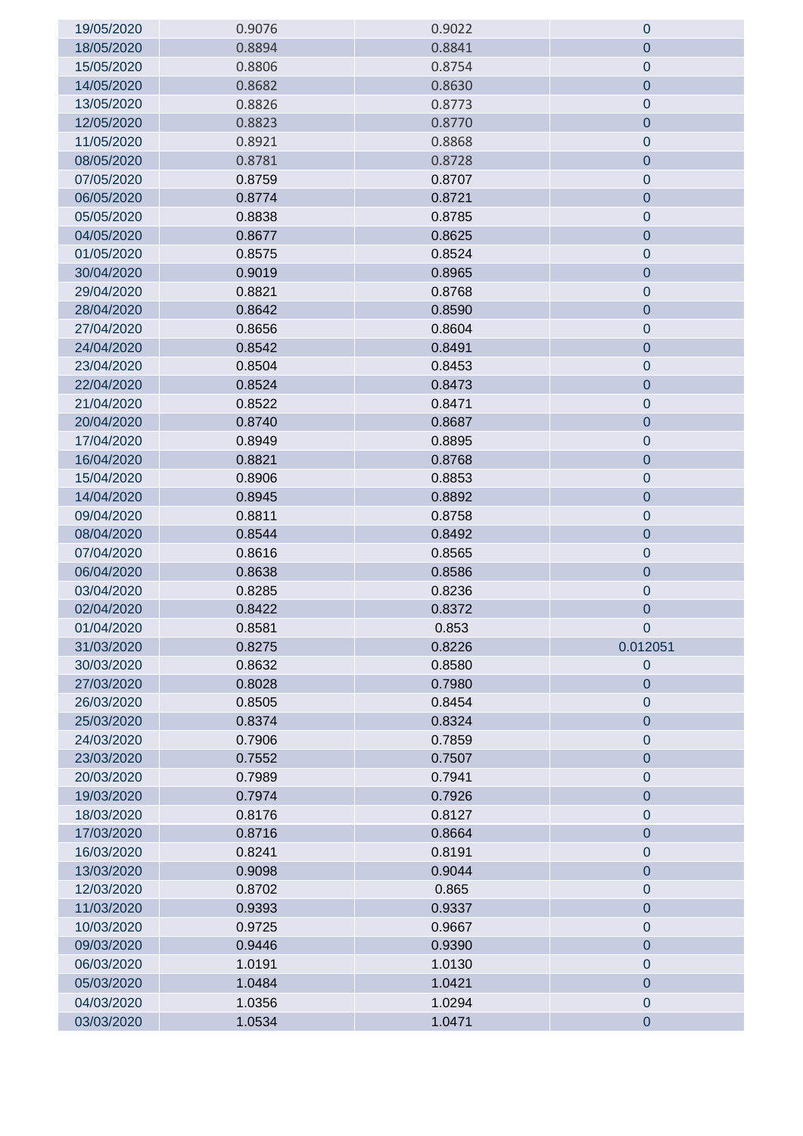| 19/05/2020 | 0.9076 | 0.9022 | $\mathbf 0$      |
|------------|--------|--------|------------------|
| 18/05/2020 | 0.8894 | 0.8841 | $\mathbf 0$      |
| 15/05/2020 | 0.8806 | 0.8754 | $\mathbf 0$      |
| 14/05/2020 | 0.8682 | 0.8630 | $\mathbf 0$      |
| 13/05/2020 | 0.8826 | 0.8773 | $\mathbf 0$      |
| 12/05/2020 | 0.8823 | 0.8770 | $\pmb{0}$        |
| 11/05/2020 | 0.8921 | 0.8868 | $\pmb{0}$        |
| 08/05/2020 | 0.8781 | 0.8728 | $\mathbf 0$      |
| 07/05/2020 | 0.8759 | 0.8707 | $\pmb{0}$        |
| 06/05/2020 | 0.8774 | 0.8721 | $\mathbf 0$      |
| 05/05/2020 | 0.8838 | 0.8785 | $\mathbf 0$      |
| 04/05/2020 | 0.8677 | 0.8625 | $\mathbf 0$      |
| 01/05/2020 | 0.8575 | 0.8524 | $\pmb{0}$        |
| 30/04/2020 | 0.9019 | 0.8965 | $\pmb{0}$        |
| 29/04/2020 | 0.8821 | 0.8768 | $\mathbf 0$      |
| 28/04/2020 | 0.8642 | 0.8590 | $\overline{0}$   |
| 27/04/2020 | 0.8656 | 0.8604 | $\pmb{0}$        |
| 24/04/2020 | 0.8542 | 0.8491 | $\mathbf 0$      |
| 23/04/2020 | 0.8504 | 0.8453 | $\pmb{0}$        |
| 22/04/2020 | 0.8524 | 0.8473 | $\mathbf 0$      |
| 21/04/2020 | 0.8522 | 0.8471 | $\mathbf 0$      |
| 20/04/2020 | 0.8740 | 0.8687 | $\pmb{0}$        |
| 17/04/2020 | 0.8949 | 0.8895 | $\mathbf 0$      |
| 16/04/2020 | 0.8821 | 0.8768 | $\mathbf 0$      |
| 15/04/2020 | 0.8906 | 0.8853 | $\pmb{0}$        |
| 14/04/2020 | 0.8945 | 0.8892 | $\overline{0}$   |
| 09/04/2020 | 0.8811 | 0.8758 | $\pmb{0}$        |
| 08/04/2020 | 0.8544 | 0.8492 | $\mathbf 0$      |
| 07/04/2020 | 0.8616 | 0.8565 | $\mathbf 0$      |
| 06/04/2020 | 0.8638 | 0.8586 | $\pmb{0}$        |
| 03/04/2020 | 0.8285 | 0.8236 | $\boldsymbol{0}$ |
| 02/04/2020 | 0.8422 | 0.8372 | $\mathbf 0$      |
| 01/04/2020 | 0.8581 | 0.853  | $\overline{0}$   |
| 31/03/2020 | 0.8275 | 0.8226 | 0.012051         |
| 30/03/2020 | 0.8632 | 0.8580 | $\mathbf 0$      |
| 27/03/2020 | 0.8028 | 0.7980 | $\mathbf 0$      |
| 26/03/2020 | 0.8505 | 0.8454 | $\mathbf 0$      |
| 25/03/2020 | 0.8374 | 0.8324 | $\pmb{0}$        |
| 24/03/2020 | 0.7906 | 0.7859 | $\mathbf 0$      |
| 23/03/2020 | 0.7552 | 0.7507 | $\pmb{0}$        |
| 20/03/2020 | 0.7989 | 0.7941 | $\pmb{0}$        |
| 19/03/2020 | 0.7974 | 0.7926 | $\overline{0}$   |
| 18/03/2020 | 0.8176 | 0.8127 | $\pmb{0}$        |
| 17/03/2020 | 0.8716 | 0.8664 | $\mathbf 0$      |
| 16/03/2020 | 0.8241 | 0.8191 | $\mathbf 0$      |
| 13/03/2020 | 0.9098 | 0.9044 | $\mathbf 0$      |
| 12/03/2020 | 0.8702 | 0.865  | $\mathbf 0$      |
| 11/03/2020 | 0.9393 | 0.9337 | $\pmb{0}$        |
| 10/03/2020 | 0.9725 | 0.9667 | $\pmb{0}$        |
| 09/03/2020 | 0.9446 | 0.9390 | $\mathbf 0$      |
| 06/03/2020 | 1.0191 | 1.0130 | $\pmb{0}$        |
| 05/03/2020 | 1.0484 | 1.0421 | $\pmb{0}$        |
| 04/03/2020 | 1.0356 | 1.0294 | $\pmb{0}$        |
| 03/03/2020 | 1.0534 | 1.0471 | $\pmb{0}$        |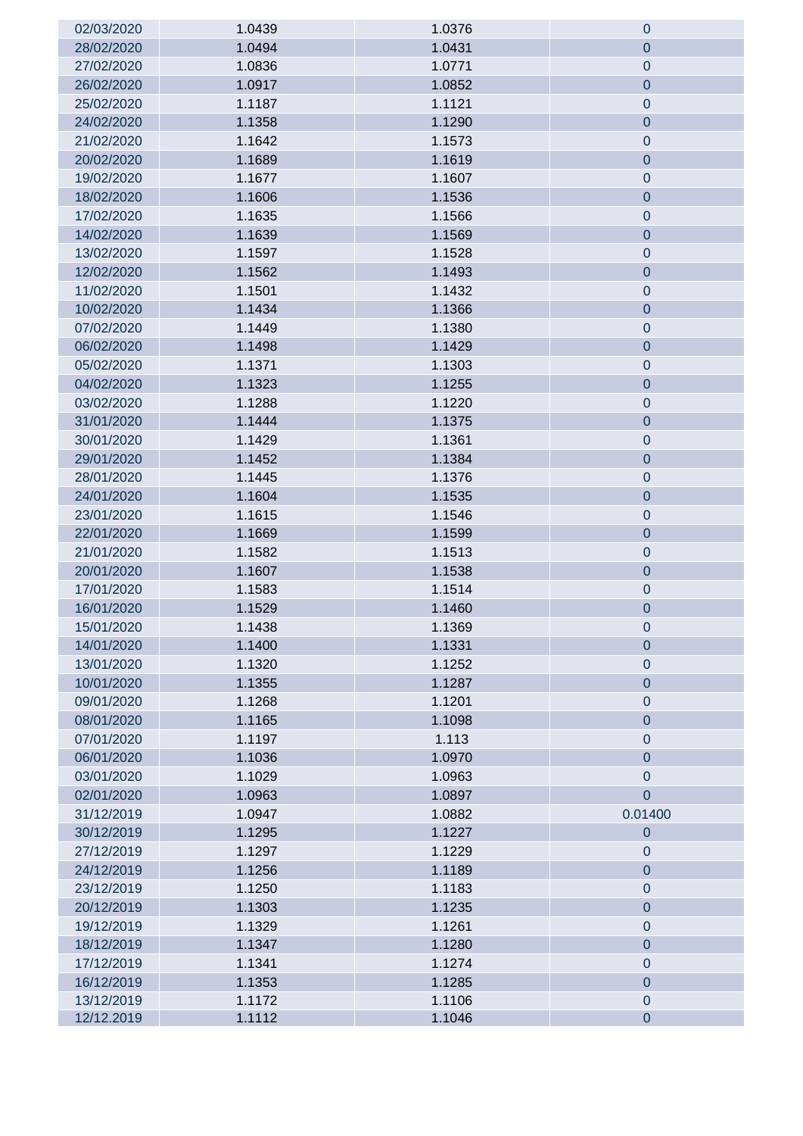| 02/03/2020               | 1.0439           | 1.0376           | $\theta$               |
|--------------------------|------------------|------------------|------------------------|
| 28/02/2020               | 1.0494           | 1.0431           | $\mathbf 0$            |
| 27/02/2020               | 1.0836           | 1.0771           | $\pmb{0}$              |
| 26/02/2020               | 1.0917           | 1.0852           | $\overline{0}$         |
| 25/02/2020               | 1.1187           | 1.1121           | $\pmb{0}$              |
| 24/02/2020               | 1.1358           | 1.1290           | $\pmb{0}$              |
| 21/02/2020               | 1.1642           | 1.1573           | $\mathbf 0$            |
| 20/02/2020               | 1.1689           | 1.1619           | $\pmb{0}$              |
| 19/02/2020               | 1.1677           | 1.1607           | $\mathbf 0$            |
| 18/02/2020               | 1.1606           | 1.1536           | $\mathbf 0$            |
| 17/02/2020               | 1.1635           | 1.1566           | $\pmb{0}$              |
| 14/02/2020               | 1.1639           | 1.1569           | $\overline{0}$         |
| 13/02/2020               | 1.1597           | 1.1528           | $\pmb{0}$              |
| 12/02/2020               | 1.1562           | 1.1493           | $\pmb{0}$              |
| 11/02/2020               | 1.1501           | 1.1432           | $\mathbf 0$            |
| 10/02/2020               | 1.1434           | 1.1366           | $\pmb{0}$              |
| 07/02/2020               | 1.1449           | 1.1380           | $\pmb{0}$              |
| 06/02/2020               | 1.1498           | 1.1429           | $\mathbf 0$            |
| 05/02/2020               | 1.1371           | 1.1303           | $\pmb{0}$              |
| 04/02/2020               | 1.1323           | 1.1255           | $\overline{0}$         |
| 03/02/2020               | 1.1288           | 1.1220           | $\pmb{0}$              |
| 31/01/2020               | 1.1444           | 1.1375           | $\pmb{0}$              |
| 30/01/2020               | 1.1429           | 1.1361           | $\mathbf 0$            |
| 29/01/2020               | 1.1452           | 1.1384           | $\pmb{0}$              |
| 28/01/2020               | 1.1445           | 1.1376           | $\mathbf 0$            |
| 24/01/2020               | 1.1604           | 1.1535           | $\mathbf 0$            |
| 23/01/2020               | 1.1615           | 1.1546           | $\pmb{0}$              |
| 22/01/2020               | 1.1669           | 1.1599           | $\mathbf 0$            |
| 21/01/2020               | 1.1582           | 1.1513           | $\pmb{0}$              |
| 20/01/2020               | 1.1607           | 1.1538           | $\mathbf 0$            |
| 17/01/2020               | 1.1583           | 1.1514           | $\pmb{0}$              |
| 16/01/2020               | 1.1529           | 1.1460           | $\pmb{0}$              |
| 15/01/2020               | 1.1438           | 1.1369           | $\pmb{0}$              |
| 14/01/2020               | 1.1400           | 1.1331           | $\mathbf 0$            |
| 13/01/2020               | 1.1320           | 1.1252           | 0                      |
| 10/01/2020               | 1.1355           | 1.1287           | $\overline{0}$         |
| 09/01/2020               | 1.1268           | 1.1201           | $\pmb{0}$              |
| 08/01/2020               | 1.1165           | 1.1098           | $\mathbf 0$            |
| 07/01/2020               | 1.1197           | 1.113            | $\boldsymbol{0}$       |
| 06/01/2020               | 1.1036           | 1.0970           | $\mathbf 0$            |
| 03/01/2020               | 1.1029           | 1.0963           | $\mathbf 0$            |
| 02/01/2020               | 1.0963           | 1.0897           | $\overline{0}$         |
| 31/12/2019               | 1.0947           | 1.0882           | 0.01400                |
| 30/12/2019               | 1.1295           | 1.1227           | $\overline{0}$         |
| 27/12/2019               | 1.1297           | 1.1229           | 0                      |
| 24/12/2019               | 1.1256           | 1.1189           | $\overline{0}$         |
| 23/12/2019               | 1.1250           | 1.1183           | $\mathbf 0$            |
| 20/12/2019               | 1.1303           | 1.1235           | $\pmb{0}$              |
| 19/12/2019               | 1.1329           | 1.1261           | $\overline{0}$         |
| 18/12/2019               | 1.1347           | 1.1280           | $\pmb{0}$              |
| 17/12/2019               | 1.1341           | 1.1274           | $\mathbf 0$            |
| 16/12/2019               | 1.1353           | 1.1285           | $\overline{0}$         |
| 13/12/2019<br>12/12.2019 | 1.1172<br>1.1112 | 1.1106<br>1.1046 | $\pmb{0}$<br>$\pmb{0}$ |
|                          |                  |                  |                        |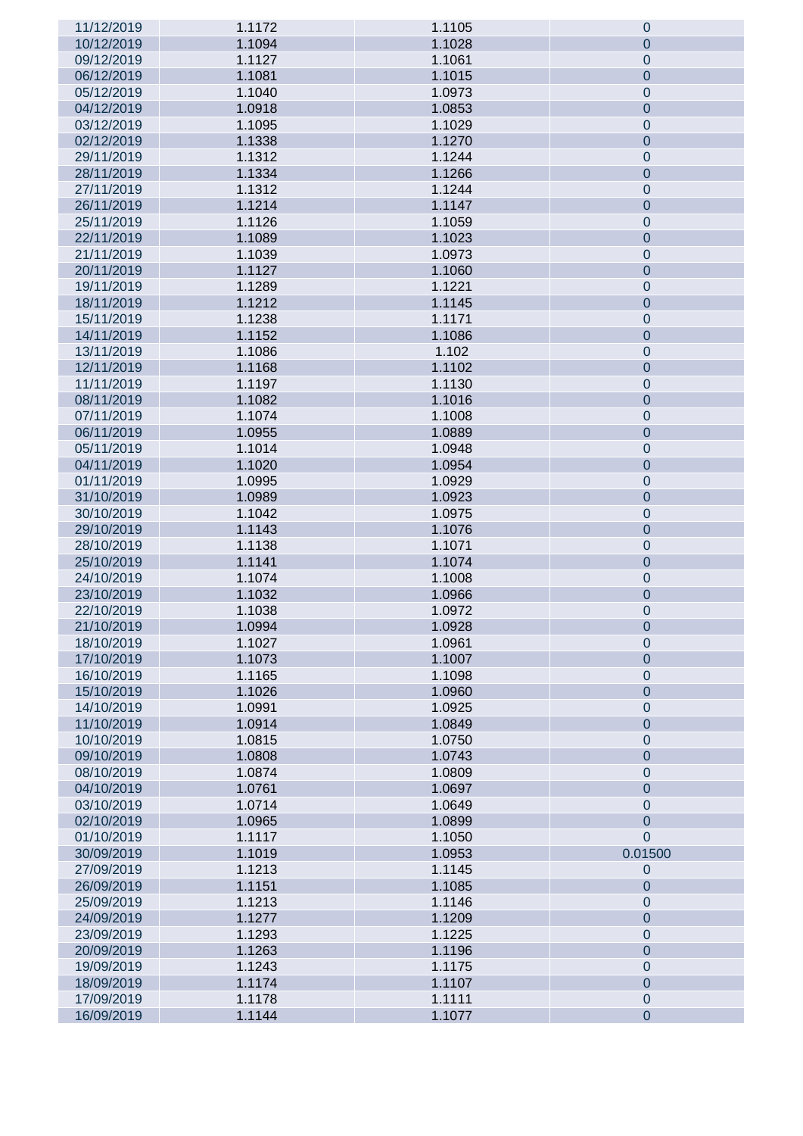| 11/12/2019 | 1.1172 | 1.1105 | $\mathbf 0$    |
|------------|--------|--------|----------------|
| 10/12/2019 | 1.1094 | 1.1028 | $\overline{0}$ |
| 09/12/2019 | 1.1127 | 1.1061 | $\mathbf 0$    |
| 06/12/2019 | 1.1081 | 1.1015 | $\mathbf 0$    |
| 05/12/2019 | 1.1040 | 1.0973 | $\mathbf 0$    |
| 04/12/2019 | 1.0918 | 1.0853 | $\mathbf 0$    |
| 03/12/2019 | 1.1095 | 1.1029 | $\pmb{0}$      |
| 02/12/2019 | 1.1338 | 1.1270 | $\mathbf 0$    |
| 29/11/2019 | 1.1312 | 1.1244 | $\pmb{0}$      |
| 28/11/2019 | 1.1334 | 1.1266 | $\mathbf 0$    |
| 27/11/2019 | 1.1312 | 1.1244 | $\pmb{0}$      |
| 26/11/2019 | 1.1214 | 1.1147 | $\mathbf 0$    |
| 25/11/2019 | 1.1126 | 1.1059 | $\pmb{0}$      |
| 22/11/2019 | 1.1089 | 1.1023 |                |
|            |        |        | $\mathbf 0$    |
| 21/11/2019 | 1.1039 | 1.0973 | $\pmb{0}$      |
| 20/11/2019 | 1.1127 | 1.1060 | $\mathbf 0$    |
| 19/11/2019 | 1.1289 | 1.1221 | $\pmb{0}$      |
| 18/11/2019 | 1.1212 | 1.1145 | $\mathbf 0$    |
| 15/11/2019 | 1.1238 | 1.1171 | $\pmb{0}$      |
| 14/11/2019 | 1.1152 | 1.1086 | $\mathbf 0$    |
| 13/11/2019 | 1.1086 | 1.102  | $\pmb{0}$      |
| 12/11/2019 | 1.1168 | 1.1102 | $\pmb{0}$      |
| 11/11/2019 | 1.1197 | 1.1130 | $\pmb{0}$      |
| 08/11/2019 | 1.1082 | 1.1016 | $\mathbf 0$    |
| 07/11/2019 | 1.1074 | 1.1008 | $\pmb{0}$      |
| 06/11/2019 | 1.0955 | 1.0889 | $\mathbf 0$    |
| 05/11/2019 | 1.1014 | 1.0948 | $\pmb{0}$      |
| 04/11/2019 | 1.1020 | 1.0954 | $\mathbf 0$    |
| 01/11/2019 | 1.0995 | 1.0929 | $\pmb{0}$      |
| 31/10/2019 | 1.0989 | 1.0923 | $\overline{0}$ |
| 30/10/2019 | 1.1042 | 1.0975 | $\pmb{0}$      |
| 29/10/2019 | 1.1143 | 1.1076 | $\overline{0}$ |
| 28/10/2019 | 1.1138 | 1.1071 | $\pmb{0}$      |
| 25/10/2019 | 1.1141 | 1.1074 | $\mathbf 0$    |
| 24/10/2019 | 1.1074 | 1.1008 | $\pmb{0}$      |
| 23/10/2019 | 1.1032 | 1.0966 | $\mathbf 0$    |
| 22/10/2019 | 1.1038 | 1.0972 | $\mathbf 0$    |
| 21/10/2019 | 1.0994 | 1.0928 | $\mathbf 0$    |
| 18/10/2019 | 1.1027 | 1.0961 | $\mathbf{0}$   |
| 17/10/2019 | 1.1073 | 1.1007 | $\overline{0}$ |
| 16/10/2019 | 1.1165 | 1.1098 | $\mathbf 0$    |
| 15/10/2019 | 1.1026 | 1.0960 | $\overline{0}$ |
| 14/10/2019 | 1.0991 | 1.0925 | $\mathbf 0$    |
| 11/10/2019 | 1.0914 | 1.0849 | $\overline{0}$ |
| 10/10/2019 | 1.0815 | 1.0750 | $\mathbf 0$    |
| 09/10/2019 | 1.0808 | 1.0743 | $\overline{0}$ |
| 08/10/2019 | 1.0874 | 1.0809 | $\mathbf 0$    |
| 04/10/2019 | 1.0761 | 1.0697 | $\overline{0}$ |
| 03/10/2019 | 1.0714 | 1.0649 | $\mathbf 0$    |
| 02/10/2019 | 1.0965 | 1.0899 | $\overline{0}$ |
| 01/10/2019 | 1.1117 | 1.1050 | $\overline{0}$ |
| 30/09/2019 | 1.1019 | 1.0953 | 0.01500        |
| 27/09/2019 | 1.1213 | 1.1145 | $\mathbf 0$    |
| 26/09/2019 | 1.1151 | 1.1085 | $\overline{0}$ |
| 25/09/2019 | 1.1213 | 1.1146 | $\mathbf 0$    |
| 24/09/2019 | 1.1277 | 1.1209 | $\overline{0}$ |
| 23/09/2019 | 1.1293 | 1.1225 | $\mathbf 0$    |
| 20/09/2019 | 1.1263 | 1.1196 | $\overline{0}$ |
| 19/09/2019 | 1.1243 | 1.1175 | $\mathbf 0$    |
| 18/09/2019 | 1.1174 | 1.1107 | $\overline{0}$ |
| 17/09/2019 | 1.1178 | 1.1111 | $\pmb{0}$      |
| 16/09/2019 | 1.1144 | 1.1077 | $\overline{0}$ |
|            |        |        |                |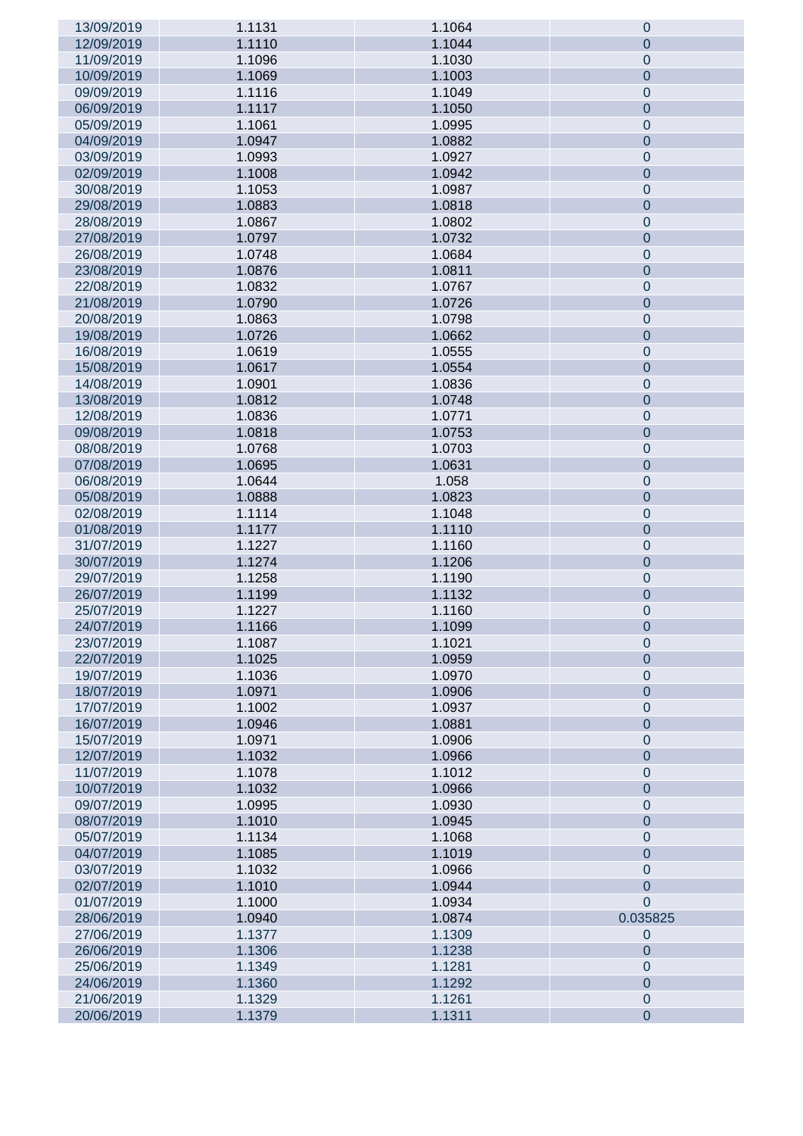| 13/09/2019 | 1.1131 | 1.1064           | 0                           |
|------------|--------|------------------|-----------------------------|
| 12/09/2019 | 1.1110 | 1.1044           | $\overline{0}$              |
| 11/09/2019 | 1.1096 | 1.1030           | $\pmb{0}$                   |
| 10/09/2019 | 1.1069 | 1.1003           | $\overline{0}$              |
| 09/09/2019 | 1.1116 | 1.1049           | $\pmb{0}$                   |
| 06/09/2019 | 1.1117 | 1.1050           | $\overline{0}$              |
| 05/09/2019 | 1.1061 | 1.0995           | $\pmb{0}$                   |
| 04/09/2019 | 1.0947 | 1.0882           | $\overline{0}$              |
| 03/09/2019 | 1.0993 | 1.0927           | $\pmb{0}$                   |
| 02/09/2019 | 1.1008 | 1.0942           | $\overline{0}$              |
| 30/08/2019 | 1.1053 | 1.0987           | $\pmb{0}$                   |
| 29/08/2019 | 1.0883 | 1.0818           | $\overline{0}$              |
| 28/08/2019 | 1.0867 | 1.0802           | $\pmb{0}$                   |
| 27/08/2019 | 1.0797 | 1.0732           | $\overline{0}$              |
| 26/08/2019 | 1.0748 | 1.0684           | $\pmb{0}$                   |
| 23/08/2019 | 1.0876 | 1.0811           | $\overline{0}$              |
| 22/08/2019 | 1.0832 |                  |                             |
| 21/08/2019 | 1.0790 | 1.0767<br>1.0726 | $\pmb{0}$<br>$\overline{0}$ |
|            |        |                  |                             |
| 20/08/2019 | 1.0863 | 1.0798           | $\pmb{0}$                   |
| 19/08/2019 | 1.0726 | 1.0662           | $\overline{0}$              |
| 16/08/2019 | 1.0619 | 1.0555           | $\pmb{0}$                   |
| 15/08/2019 | 1.0617 | 1.0554           | $\overline{0}$              |
| 14/08/2019 | 1.0901 | 1.0836           | $\pmb{0}$                   |
| 13/08/2019 | 1.0812 | 1.0748           | $\overline{0}$              |
| 12/08/2019 | 1.0836 | 1.0771           | $\pmb{0}$                   |
| 09/08/2019 | 1.0818 | 1.0753           | $\overline{0}$              |
| 08/08/2019 | 1.0768 | 1.0703           | $\pmb{0}$                   |
| 07/08/2019 | 1.0695 | 1.0631           | $\overline{0}$              |
| 06/08/2019 | 1.0644 | 1.058            | $\boldsymbol{0}$            |
| 05/08/2019 | 1.0888 | 1.0823           | $\mathbf 0$                 |
| 02/08/2019 | 1.1114 | 1.1048           | $\boldsymbol{0}$            |
| 01/08/2019 | 1.1177 | 1.1110           | $\mathbf 0$                 |
| 31/07/2019 | 1.1227 | 1.1160           | $\boldsymbol{0}$            |
| 30/07/2019 | 1.1274 | 1.1206           | $\mathbf 0$                 |
| 29/07/2019 | 1.1258 | 1.1190           | $\pmb{0}$                   |
| 26/07/2019 | 1.1199 | 1.1132           | $\mathbf 0$                 |
| 25/07/2019 | 1.1227 | 1.1160           | $\pmb{0}$                   |
| 24/07/2019 | 1.1166 | 1.1099           | $\mathbf 0$                 |
| 23/07/2019 | 1.1087 | 1.1021           | $\mathbf 0$                 |
| 22/07/2019 | 1.1025 | 1.0959           | $\overline{0}$              |
| 19/07/2019 | 1.1036 | 1.0970           | $\boldsymbol{0}$            |
| 18/07/2019 | 1.0971 | 1.0906           | $\overline{0}$              |
| 17/07/2019 | 1.1002 | 1.0937           | $\boldsymbol{0}$            |
| 16/07/2019 | 1.0946 | 1.0881           | $\overline{0}$              |
| 15/07/2019 | 1.0971 | 1.0906           | $\boldsymbol{0}$            |
| 12/07/2019 | 1.1032 | 1.0966           | $\overline{0}$              |
| 11/07/2019 | 1.1078 | 1.1012           | $\boldsymbol{0}$            |
| 10/07/2019 | 1.1032 | 1.0966           | $\overline{0}$              |
| 09/07/2019 | 1.0995 | 1.0930           | $\boldsymbol{0}$            |
| 08/07/2019 | 1.1010 | 1.0945           | $\overline{0}$              |
| 05/07/2019 | 1.1134 | 1.1068           | $\boldsymbol{0}$            |
| 04/07/2019 | 1.1085 | 1.1019           | $\overline{0}$              |
| 03/07/2019 | 1.1032 | 1.0966           | $\boldsymbol{0}$            |
| 02/07/2019 | 1.1010 | 1.0944           | $\overline{0}$              |
| 01/07/2019 | 1.1000 | 1.0934           | $\overline{0}$              |
| 28/06/2019 | 1.0940 | 1.0874           | 0.035825                    |
| 27/06/2019 | 1.1377 | 1.1309           | 0                           |
| 26/06/2019 | 1.1306 | 1.1238           | $\overline{0}$              |
| 25/06/2019 | 1.1349 | 1.1281           | $\pmb{0}$                   |
| 24/06/2019 | 1.1360 | 1.1292           | $\overline{0}$              |
| 21/06/2019 | 1.1329 | 1.1261           | $\pmb{0}$                   |
| 20/06/2019 | 1.1379 | 1.1311           | $\overline{0}$              |
|            |        |                  |                             |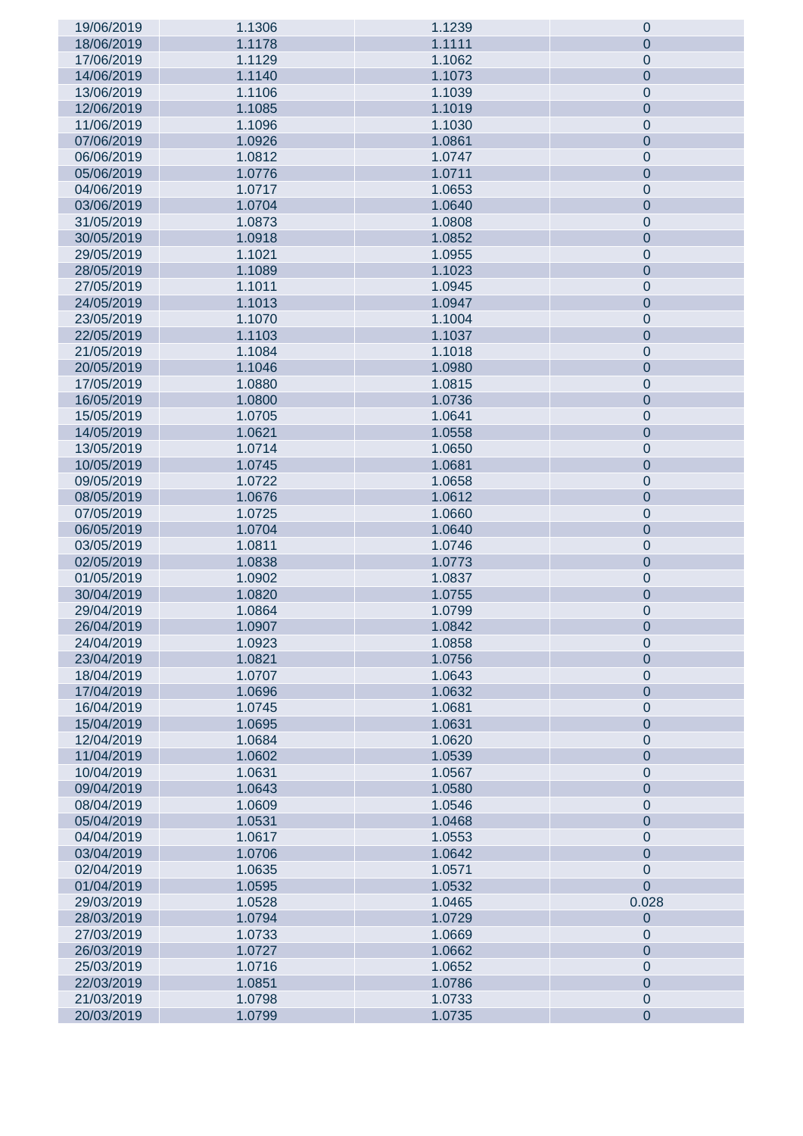| 19/06/2019 | 1.1306 | 1.1239 | 0                |
|------------|--------|--------|------------------|
| 18/06/2019 | 1.1178 | 1.1111 | $\overline{0}$   |
| 17/06/2019 | 1.1129 | 1.1062 | $\pmb{0}$        |
| 14/06/2019 | 1.1140 | 1.1073 | $\overline{0}$   |
| 13/06/2019 | 1.1106 | 1.1039 | $\pmb{0}$        |
| 12/06/2019 | 1.1085 | 1.1019 | $\overline{0}$   |
| 11/06/2019 | 1.1096 | 1.1030 | $\pmb{0}$        |
| 07/06/2019 | 1.0926 | 1.0861 | $\overline{0}$   |
| 06/06/2019 | 1.0812 | 1.0747 | $\pmb{0}$        |
| 05/06/2019 | 1.0776 | 1.0711 | $\overline{0}$   |
| 04/06/2019 | 1.0717 | 1.0653 | $\pmb{0}$        |
| 03/06/2019 | 1.0704 | 1.0640 | $\mathbf 0$      |
| 31/05/2019 | 1.0873 | 1.0808 | $\pmb{0}$        |
|            |        |        |                  |
| 30/05/2019 | 1.0918 | 1.0852 | $\mathbf 0$      |
| 29/05/2019 | 1.1021 | 1.0955 | $\pmb{0}$        |
| 28/05/2019 | 1.1089 | 1.1023 | $\mathbf 0$      |
| 27/05/2019 | 1.1011 | 1.0945 | $\pmb{0}$        |
| 24/05/2019 | 1.1013 | 1.0947 | $\mathbf 0$      |
| 23/05/2019 | 1.1070 | 1.1004 | $\pmb{0}$        |
| 22/05/2019 | 1.1103 | 1.1037 | $\mathbf 0$      |
| 21/05/2019 | 1.1084 | 1.1018 | $\pmb{0}$        |
| 20/05/2019 | 1.1046 | 1.0980 | $\mathbf 0$      |
| 17/05/2019 | 1.0880 | 1.0815 | $\pmb{0}$        |
| 16/05/2019 | 1.0800 | 1.0736 | $\mathbf 0$      |
| 15/05/2019 | 1.0705 | 1.0641 | $\pmb{0}$        |
| 14/05/2019 | 1.0621 | 1.0558 | $\mathbf 0$      |
| 13/05/2019 | 1.0714 | 1.0650 | $\pmb{0}$        |
| 10/05/2019 | 1.0745 | 1.0681 | $\mathbf 0$      |
| 09/05/2019 | 1.0722 | 1.0658 | $\boldsymbol{0}$ |
| 08/05/2019 | 1.0676 | 1.0612 | $\mathbf 0$      |
| 07/05/2019 | 1.0725 | 1.0660 | $\boldsymbol{0}$ |
| 06/05/2019 | 1.0704 | 1.0640 | $\mathbf 0$      |
| 03/05/2019 | 1.0811 | 1.0746 | $\pmb{0}$        |
| 02/05/2019 | 1.0838 | 1.0773 | $\mathbf 0$      |
| 01/05/2019 | 1.0902 | 1.0837 | $\pmb{0}$        |
| 30/04/2019 | 1.0820 | 1.0755 | $\mathbf 0$      |
| 29/04/2019 | 1.0864 | 1.0799 | $\pmb{0}$        |
| 26/04/2019 | 1.0907 | 1.0842 | $\mathbf 0$      |
| 24/04/2019 | 1.0923 | 1.0858 | $\mathbf 0$      |
| 23/04/2019 | 1.0821 | 1.0756 | $\overline{0}$   |
| 18/04/2019 | 1.0707 | 1.0643 | $\boldsymbol{0}$ |
| 17/04/2019 | 1.0696 | 1.0632 | $\overline{0}$   |
| 16/04/2019 | 1.0745 | 1.0681 | $\boldsymbol{0}$ |
| 15/04/2019 | 1.0695 | 1.0631 | $\overline{0}$   |
| 12/04/2019 | 1.0684 | 1.0620 | $\boldsymbol{0}$ |
| 11/04/2019 | 1.0602 | 1.0539 | $\overline{0}$   |
| 10/04/2019 | 1.0631 | 1.0567 | $\boldsymbol{0}$ |
| 09/04/2019 | 1.0643 | 1.0580 | $\overline{0}$   |
| 08/04/2019 | 1.0609 | 1.0546 | $\boldsymbol{0}$ |
| 05/04/2019 | 1.0531 | 1.0468 | $\overline{0}$   |
| 04/04/2019 | 1.0617 | 1.0553 | $\boldsymbol{0}$ |
| 03/04/2019 | 1.0706 | 1.0642 | $\overline{0}$   |
| 02/04/2019 | 1.0635 | 1.0571 | $\mathbf 0$      |
| 01/04/2019 | 1.0595 | 1.0532 | $\overline{0}$   |
| 29/03/2019 | 1.0528 | 1.0465 | 0.028            |
| 28/03/2019 | 1.0794 | 1.0729 | $\overline{0}$   |
| 27/03/2019 | 1.0733 | 1.0669 | $\overline{0}$   |
| 26/03/2019 | 1.0727 | 1.0662 | $\overline{0}$   |
| 25/03/2019 | 1.0716 | 1.0652 | $\boldsymbol{0}$ |
| 22/03/2019 | 1.0851 | 1.0786 | $\overline{0}$   |
| 21/03/2019 | 1.0798 | 1.0733 | $\pmb{0}$        |
| 20/03/2019 | 1.0799 | 1.0735 | $\overline{0}$   |
|            |        |        |                  |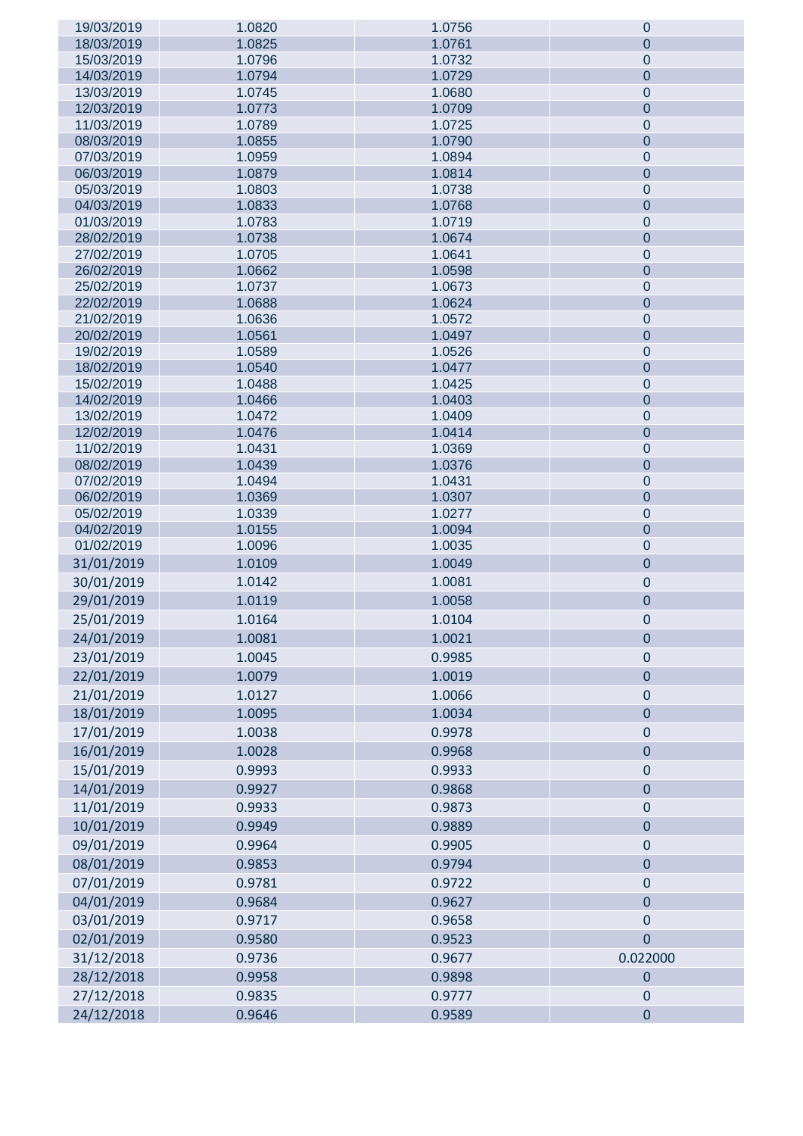| 19/03/2019               | 1.0820           | 1.0756           | $\mathbf 0$                |
|--------------------------|------------------|------------------|----------------------------|
| 18/03/2019               | 1.0825           | 1.0761           | $\overline{0}$             |
| 15/03/2019               | 1.0796           | 1.0732           | $\overline{0}$             |
| 14/03/2019               | 1.0794           | 1.0729           | $\mathbf 0$                |
| 13/03/2019               | 1.0745           | 1.0680           | $\mathbf 0$                |
| 12/03/2019               | 1.0773           | 1.0709           | $\mathbf 0$                |
| 11/03/2019               | 1.0789           | 1.0725           | $\mathbf 0$                |
| 08/03/2019               | 1.0855           | 1.0790           | $\mathbf 0$                |
| 07/03/2019               | 1.0959           | 1.0894           | $\mathbf 0$                |
| 06/03/2019               | 1.0879           | 1.0814           | $\mathbf 0$                |
| 05/03/2019               | 1.0803           | 1.0738           | $\mathbf 0$                |
| 04/03/2019               | 1.0833           | 1.0768           | $\mathbf 0$                |
| 01/03/2019               | 1.0783           | 1.0719           | $\mathbf 0$                |
| 28/02/2019<br>27/02/2019 | 1.0738<br>1.0705 | 1.0674<br>1.0641 | $\mathbf 0$<br>$\mathbf 0$ |
| 26/02/2019               | 1.0662           | 1.0598           | $\mathbf 0$                |
| 25/02/2019               | 1.0737           | 1.0673           | $\mathbf 0$                |
| 22/02/2019               | 1.0688           | 1.0624           | $\mathbf 0$                |
| 21/02/2019               | 1.0636           | 1.0572           | $\mathbf 0$                |
| 20/02/2019               | 1.0561           | 1.0497           | $\mathbf 0$                |
| 19/02/2019               | 1.0589           | 1.0526           | $\mathbf 0$                |
| 18/02/2019               | 1.0540           | 1.0477           | $\mathbf 0$                |
| 15/02/2019               | 1.0488           | 1.0425           | $\mathbf 0$                |
| 14/02/2019               | 1.0466           | 1.0403           | $\mathbf 0$                |
| 13/02/2019               | 1.0472           | 1.0409           | $\mathbf 0$                |
| 12/02/2019               | 1.0476           | 1.0414           | $\mathbf 0$                |
| 11/02/2019               | 1.0431           | 1.0369           | $\mathbf 0$                |
| 08/02/2019               | 1.0439           | 1.0376           | $\mathbf 0$                |
| 07/02/2019               | 1.0494           | 1.0431           | $\mathbf 0$                |
| 06/02/2019               | 1.0369           | 1.0307           | $\mathbf 0$                |
| 05/02/2019               | 1.0339           | 1.0277           | $\mathbf 0$                |
| 04/02/2019               | 1.0155           | 1.0094           | $\mathbf 0$                |
| 01/02/2019               | 1.0096           | 1.0035           | $\mathbf 0$                |
| 31/01/2019               | 1.0109           | 1.0049           | $\pmb{0}$                  |
| 30/01/2019               | 1.0142           | 1.0081           | $\pmb{0}$                  |
| 29/01/2019               | 1.0119           | 1.0058           | $\mathbf 0$                |
| 25/01/2019               | 1.0164           | 1.0104           | 0                          |
| 24/01/2019               | 1.0081           | 1.0021           | $\mathbf 0$                |
| 23/01/2019               | 1.0045           | 0.9985           | $\mathbf 0$                |
| 22/01/2019               | 1.0079           | 1.0019           | $\pmb{0}$                  |
| 21/01/2019               | 1.0127           | 1.0066           | $\pmb{0}$                  |
| 18/01/2019               | 1.0095           | 1.0034           | $\mathbf 0$                |
| 17/01/2019               | 1.0038           | 0.9978           | $\pmb{0}$                  |
| 16/01/2019               | 1.0028           | 0.9968           | $\pmb{0}$                  |
| 15/01/2019               | 0.9993           | 0.9933           | $\mathbf 0$                |
| 14/01/2019               | 0.9927           | 0.9868           | $\mathbf 0$                |
|                          | 0.9933           | 0.9873           |                            |
| 11/01/2019               |                  |                  | $\mathbf 0$                |
| 10/01/2019               | 0.9949           | 0.9889           | $\mathbf 0$                |
| 09/01/2019               | 0.9964           | 0.9905           | $\pmb{0}$                  |
| 08/01/2019               | 0.9853           | 0.9794           | $\pmb{0}$                  |
| 07/01/2019               | 0.9781           | 0.9722           | $\mathbf 0$                |
| 04/01/2019               | 0.9684           | 0.9627           | $\mathbf 0$                |
| 03/01/2019               | 0.9717           | 0.9658           | $\mathbf 0$                |
| 02/01/2019               | 0.9580           | 0.9523           | $\mathbf 0$                |
| 31/12/2018               | 0.9736           | 0.9677           | 0.022000                   |
| 28/12/2018               | 0.9958           | 0.9898           | $\pmb{0}$                  |
| 27/12/2018               | 0.9835           | 0.9777           | $\mathbf 0$                |
| 24/12/2018               | 0.9646           | 0.9589           | $\mathbf 0$                |
|                          |                  |                  |                            |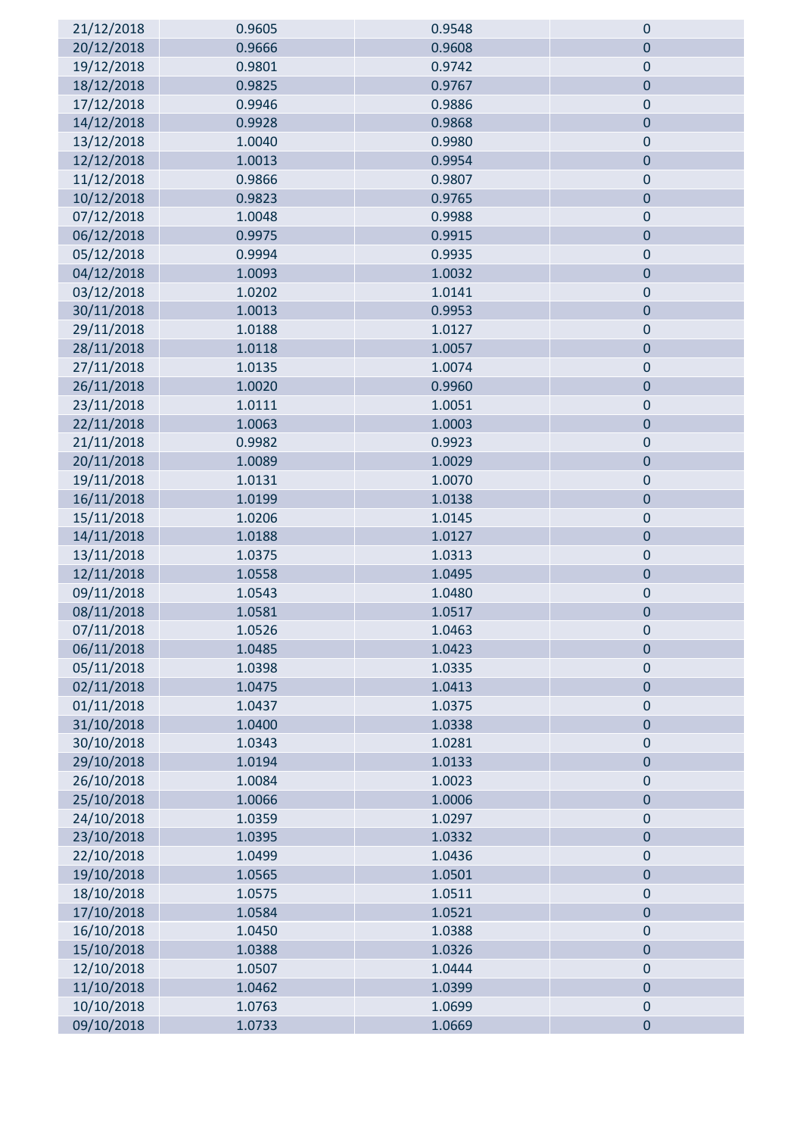| 21/12/2018 | 0.9605 | 0.9548 | $\mathbf 0$ |
|------------|--------|--------|-------------|
| 20/12/2018 | 0.9666 | 0.9608 | $\mathbf 0$ |
| 19/12/2018 | 0.9801 | 0.9742 | $\mathbf 0$ |
| 18/12/2018 | 0.9825 | 0.9767 | $\pmb{0}$   |
| 17/12/2018 | 0.9946 | 0.9886 | $\pmb{0}$   |
| 14/12/2018 | 0.9928 | 0.9868 | $\mathbf 0$ |
| 13/12/2018 | 1.0040 | 0.9980 | $\pmb{0}$   |
| 12/12/2018 | 1.0013 | 0.9954 | $\bf 0$     |
| 11/12/2018 | 0.9866 | 0.9807 | $\pmb{0}$   |
| 10/12/2018 | 0.9823 | 0.9765 | $\mathbf 0$ |
| 07/12/2018 | 1.0048 | 0.9988 | $\mathbf 0$ |
| 06/12/2018 | 0.9975 | 0.9915 | $\bf 0$     |
| 05/12/2018 | 0.9994 | 0.9935 | $\pmb{0}$   |
| 04/12/2018 | 1.0093 | 1.0032 | $\bf 0$     |
| 03/12/2018 | 1.0202 | 1.0141 | $\bf 0$     |
| 30/11/2018 | 1.0013 | 0.9953 | $\mathbf 0$ |
| 29/11/2018 | 1.0188 | 1.0127 | $\bf 0$     |
| 28/11/2018 | 1.0118 | 1.0057 | $\bf 0$     |
| 27/11/2018 | 1.0135 | 1.0074 | $\pmb{0}$   |
| 26/11/2018 | 1.0020 | 0.9960 | $\mathbf 0$ |
| 23/11/2018 | 1.0111 | 1.0051 | $\pmb{0}$   |
| 22/11/2018 | 1.0063 | 1.0003 | $\mathbf 0$ |
| 21/11/2018 | 0.9982 | 0.9923 | $\bf 0$     |
| 20/11/2018 | 1.0089 | 1.0029 | $\mathbf 0$ |
| 19/11/2018 | 1.0131 | 1.0070 | $\pmb{0}$   |
| 16/11/2018 | 1.0199 | 1.0138 | $\pmb{0}$   |
| 15/11/2018 | 1.0206 | 1.0145 | $\pmb{0}$   |
| 14/11/2018 | 1.0188 | 1.0127 | $\mathbf 0$ |
| 13/11/2018 | 1.0375 | 1.0313 | $\mathbf 0$ |
| 12/11/2018 | 1.0558 | 1.0495 | $\mathbf 0$ |
| 09/11/2018 | 1.0543 | 1.0480 | $\mathbf 0$ |
| 08/11/2018 | 1.0581 | 1.0517 | $\mathbf 0$ |
| 07/11/2018 | 1.0526 | 1.0463 | $\mathbf 0$ |
| 06/11/2018 | 1.0485 | 1.0423 | $\mathbf 0$ |
| 05/11/2018 | 1.0398 | 1.0335 | $\pmb{0}$   |
| 02/11/2018 | 1.0475 | 1.0413 | $\bf 0$     |
| 01/11/2018 | 1.0437 | 1.0375 | $\bf 0$     |
| 31/10/2018 | 1.0400 | 1.0338 | $\pmb{0}$   |
| 30/10/2018 | 1.0343 | 1.0281 | $\bf 0$     |
| 29/10/2018 | 1.0194 | 1.0133 | $\mathbf 0$ |
| 26/10/2018 | 1.0084 | 1.0023 | $\pmb{0}$   |
| 25/10/2018 | 1.0066 | 1.0006 | $\mathbf 0$ |
| 24/10/2018 | 1.0359 | 1.0297 | $\bf 0$     |
| 23/10/2018 | 1.0395 | 1.0332 | $\pmb{0}$   |
| 22/10/2018 | 1.0499 | 1.0436 | $\mathbf 0$ |
| 19/10/2018 | 1.0565 | 1.0501 | $\bf 0$     |
| 18/10/2018 | 1.0575 | 1.0511 | $\pmb{0}$   |
| 17/10/2018 | 1.0584 | 1.0521 | $\bf 0$     |
| 16/10/2018 | 1.0450 | 1.0388 | $\bf 0$     |
| 15/10/2018 | 1.0388 | 1.0326 | $\mathbf 0$ |
| 12/10/2018 | 1.0507 | 1.0444 | $\mathbf 0$ |
| 11/10/2018 | 1.0462 | 1.0399 | $\bf 0$     |
| 10/10/2018 | 1.0763 | 1.0699 | $\pmb{0}$   |
| 09/10/2018 | 1.0733 | 1.0669 | $\pmb{0}$   |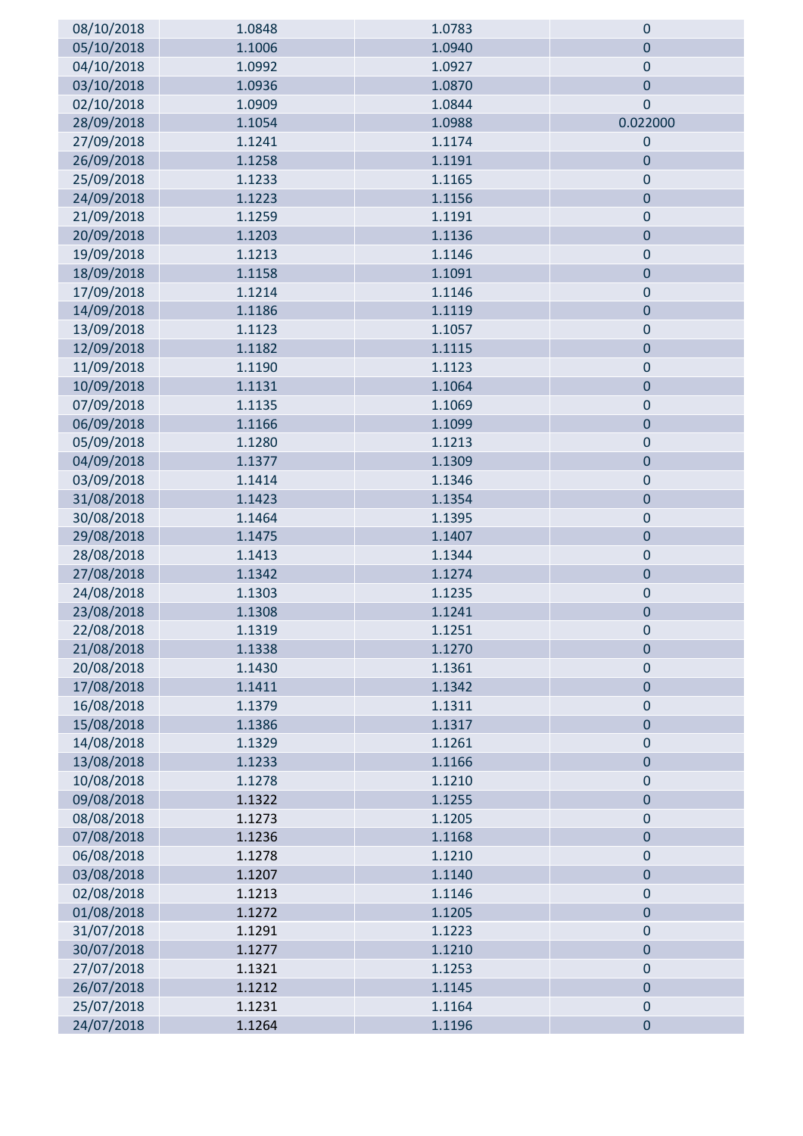| 08/10/2018               | 1.0848           | 1.0783           | $\mathbf 0$                |
|--------------------------|------------------|------------------|----------------------------|
| 05/10/2018               | 1.1006           | 1.0940           | $\mathbf 0$                |
| 04/10/2018               | 1.0992           | 1.0927           | $\mathbf 0$                |
| 03/10/2018               | 1.0936           | 1.0870           | $\mathbf 0$                |
| 02/10/2018               | 1.0909           | 1.0844           | $\mathbf 0$                |
| 28/09/2018               | 1.1054           | 1.0988           | 0.022000                   |
| 27/09/2018               | 1.1241           | 1.1174           | $\mathbf 0$                |
| 26/09/2018               | 1.1258           | 1.1191           | $\mathbf 0$                |
| 25/09/2018               | 1.1233           | 1.1165           | $\mathbf 0$                |
| 24/09/2018               | 1.1223           | 1.1156           | $\mathbf 0$                |
| 21/09/2018               | 1.1259           | 1.1191           | $\bf 0$                    |
| 20/09/2018               | 1.1203           | 1.1136           | $\mathbf{0}$               |
| 19/09/2018               | 1.1213           | 1.1146           | $\mathbf 0$                |
| 18/09/2018               | 1.1158           | 1.1091           | $\mathbf 0$                |
| 17/09/2018               | 1.1214           | 1.1146           | $\mathbf 0$                |
| 14/09/2018               | 1.1186           | 1.1119           | $\mathbf 0$                |
| 13/09/2018               | 1.1123           | 1.1057           | $\mathbf 0$                |
| 12/09/2018               | 1.1182           | 1.1115           | $\mathbf 0$                |
| 11/09/2018               | 1.1190           | 1.1123           | $\mathbf 0$                |
| 10/09/2018               | 1.1131           | 1.1064           | $\mathbf 0$                |
| 07/09/2018               | 1.1135           | 1.1069           | $\mathbf{0}$               |
| 06/09/2018               | 1.1166           | 1.1099           | $\mathbf 0$                |
| 05/09/2018               | 1.1280           | 1.1213           | $\mathbf 0$                |
| 04/09/2018               | 1.1377           | 1.1309           | $\mathbf 0$                |
| 03/09/2018               | 1.1414           | 1.1346           | $\mathbf 0$                |
| 31/08/2018               | 1.1423           | 1.1354           | $\mathbf 0$                |
| 30/08/2018               | 1.1464           | 1.1395           | $\mathbf{0}$               |
| 29/08/2018               | 1.1475           | 1.1407           | $\mathbf{0}$               |
| 28/08/2018               | 1.1413           | 1.1344           | $\mathbf 0$                |
| 27/08/2018               | 1.1342           | 1.1274           | $\mathbf{0}$               |
| 24/08/2018               | 1.1303           | 1.1235           | $\bf 0$                    |
| 23/08/2018               | 1.1308           | 1.1241           | $\mathbf 0$                |
| 22/08/2018               | 1.1319           | 1.1251           | $\cup$                     |
| 21/08/2018               | 1.1338           | 1.1270           | $\mathbf 0$                |
| 20/08/2018               | 1.1430           | 1.1361           | $\pmb{0}$                  |
| 17/08/2018               | 1.1411           | 1.1342           | $\mathbf 0$                |
| 16/08/2018               | 1.1379           | 1.1311           | $\mathbf 0$                |
| 15/08/2018               | 1.1386           | 1.1317           | $\mathbf 0$                |
| 14/08/2018               | 1.1329           | 1.1261           | $\mathbf 0$                |
| 13/08/2018               | 1.1233           | 1.1166           | $\mathbf{0}$               |
| 10/08/2018               | 1.1278           | 1.1210           | $\mathbf 0$                |
| 09/08/2018               | 1.1322           | 1.1255           | $\mathbf{0}$               |
| 08/08/2018               | 1.1273           | 1.1205<br>1.1168 | $\mathbf 0$<br>$\mathbf 0$ |
| 07/08/2018               | 1.1236           | 1.1210           |                            |
| 06/08/2018<br>03/08/2018 | 1.1278<br>1.1207 | 1.1140           | $\bf 0$<br>$\mathbf 0$     |
| 02/08/2018               | 1.1213           | 1.1146           | $\mathbf 0$                |
| 01/08/2018               | 1.1272           | 1.1205           | $\pmb{0}$                  |
| 31/07/2018               | 1.1291           | 1.1223           | $\mathbf 0$                |
| 30/07/2018               | 1.1277           | 1.1210           | $\mathbf 0$                |
| 27/07/2018               | 1.1321           | 1.1253           | $\mathbf 0$                |
| 26/07/2018               | 1.1212           | 1.1145           | $\mathbf 0$                |
| 25/07/2018               | 1.1231           | 1.1164           | $\mathbf 0$                |
| 24/07/2018               | 1.1264           | 1.1196           | $\pmb{0}$                  |
|                          |                  |                  |                            |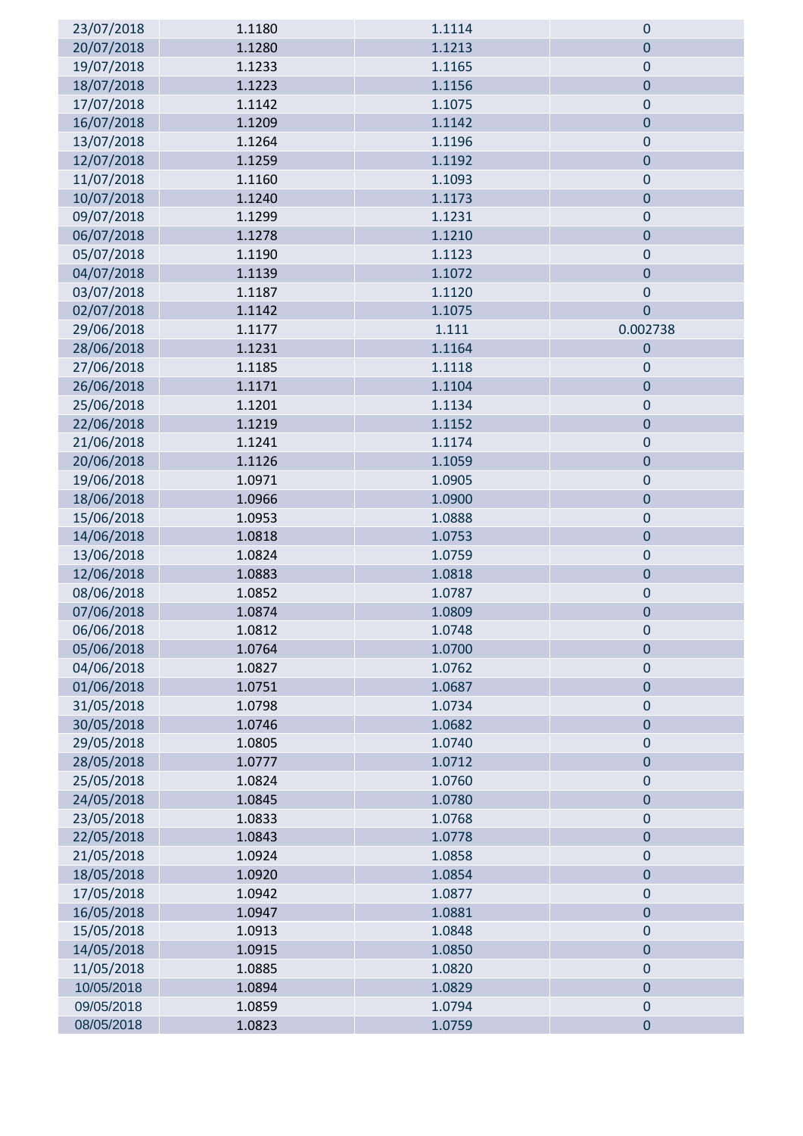| 23/07/2018 | 1.1180 | 1.1114 | $\mathbf 0$    |
|------------|--------|--------|----------------|
| 20/07/2018 | 1.1280 | 1.1213 | $\overline{0}$ |
| 19/07/2018 | 1.1233 | 1.1165 | $\pmb{0}$      |
| 18/07/2018 | 1.1223 | 1.1156 | $\pmb{0}$      |
| 17/07/2018 | 1.1142 | 1.1075 | $\pmb{0}$      |
| 16/07/2018 | 1.1209 | 1.1142 | $\pmb{0}$      |
| 13/07/2018 | 1.1264 | 1.1196 | $\pmb{0}$      |
| 12/07/2018 | 1.1259 | 1.1192 | $\pmb{0}$      |
| 11/07/2018 | 1.1160 | 1.1093 | $\pmb{0}$      |
| 10/07/2018 | 1.1240 | 1.1173 | $\mathbf 0$    |
| 09/07/2018 | 1.1299 | 1.1231 | $\mathbf 0$    |
| 06/07/2018 | 1.1278 | 1.1210 | $\pmb{0}$      |
| 05/07/2018 | 1.1190 | 1.1123 | $\pmb{0}$      |
| 04/07/2018 | 1.1139 | 1.1072 | $\pmb{0}$      |
| 03/07/2018 | 1.1187 | 1.1120 | $\pmb{0}$      |
| 02/07/2018 | 1.1142 | 1.1075 | $\overline{0}$ |
| 29/06/2018 | 1.1177 | 1.111  | 0.002738       |
| 28/06/2018 | 1.1231 | 1.1164 | $\mathbf 0$    |
| 27/06/2018 | 1.1185 | 1.1118 | $\mathbf 0$    |
| 26/06/2018 | 1.1171 | 1.1104 | $\pmb{0}$      |
| 25/06/2018 | 1.1201 | 1.1134 | $\mathbf 0$    |
| 22/06/2018 | 1.1219 | 1.1152 | $\mathbf 0$    |
| 21/06/2018 | 1.1241 | 1.1174 | $\pmb{0}$      |
| 20/06/2018 | 1.1126 | 1.1059 | $\pmb{0}$      |
| 19/06/2018 | 1.0971 | 1.0905 | $\pmb{0}$      |
| 18/06/2018 | 1.0966 | 1.0900 | $\pmb{0}$      |
| 15/06/2018 | 1.0953 | 1.0888 | $\mathbf 0$    |
| 14/06/2018 | 1.0818 | 1.0753 | $\pmb{0}$      |
| 13/06/2018 | 1.0824 | 1.0759 | $\pmb{0}$      |
| 12/06/2018 | 1.0883 | 1.0818 | $\mathbf 0$    |
| 08/06/2018 | 1.0852 | 1.0787 | $\pmb{0}$      |
| 07/06/2018 | 1.0874 | 1.0809 | $\bf{0}$       |
| 06/06/2018 | 1.0812 | 1.0748 | 0              |
| 05/06/2018 | 1.0764 | 1.0700 | $\pmb{0}$      |
| 04/06/2018 | 1.0827 | 1.0762 | $\pmb{0}$      |
| 01/06/2018 | 1.0751 | 1.0687 | $\mathbf 0$    |
| 31/05/2018 | 1.0798 | 1.0734 | $\pmb{0}$      |
| 30/05/2018 | 1.0746 | 1.0682 | $\pmb{0}$      |
| 29/05/2018 | 1.0805 | 1.0740 | $\mathbf 0$    |
| 28/05/2018 | 1.0777 | 1.0712 | $\pmb{0}$      |
| 25/05/2018 | 1.0824 | 1.0760 | $\pmb{0}$      |
| 24/05/2018 | 1.0845 | 1.0780 | $\pmb{0}$      |
| 23/05/2018 | 1.0833 | 1.0768 | $\pmb{0}$      |
| 22/05/2018 | 1.0843 | 1.0778 | $\mathbf 0$    |
| 21/05/2018 | 1.0924 | 1.0858 | $\pmb{0}$      |
| 18/05/2018 | 1.0920 | 1.0854 | $\pmb{0}$      |
| 17/05/2018 | 1.0942 | 1.0877 | $\mathbf 0$    |
| 16/05/2018 | 1.0947 | 1.0881 | $\pmb{0}$      |
| 15/05/2018 | 1.0913 | 1.0848 | $\pmb{0}$      |
| 14/05/2018 | 1.0915 | 1.0850 | $\mathbf 0$    |
| 11/05/2018 | 1.0885 | 1.0820 | $\pmb{0}$      |
| 10/05/2018 | 1.0894 | 1.0829 | $\pmb{0}$      |
| 09/05/2018 | 1.0859 | 1.0794 | $\pmb{0}$      |
| 08/05/2018 | 1.0823 | 1.0759 | $\pmb{0}$      |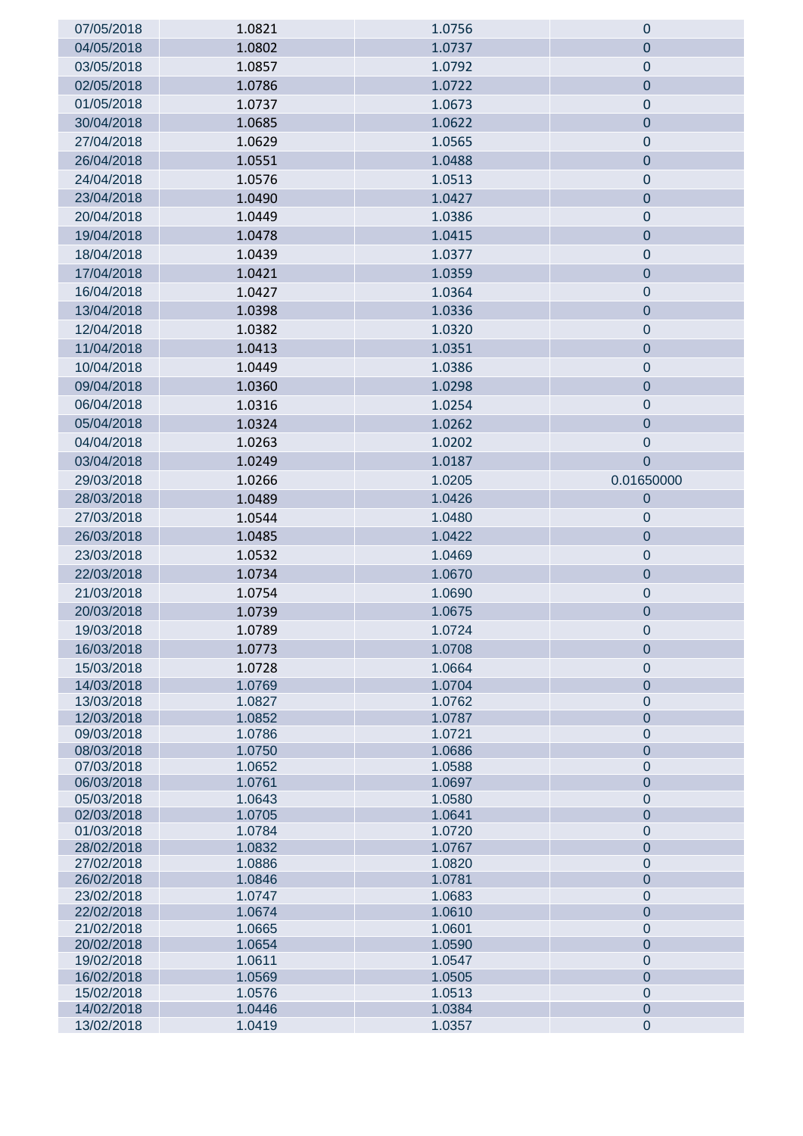| 07/05/2018               | 1.0821           | 1.0756           | $\pmb{0}$                          |
|--------------------------|------------------|------------------|------------------------------------|
| 04/05/2018               | 1.0802           | 1.0737           | $\mathbf 0$                        |
| 03/05/2018               | 1.0857           | 1.0792           | $\pmb{0}$                          |
| 02/05/2018               | 1.0786           | 1.0722           | $\bf 0$                            |
| 01/05/2018               | 1.0737           | 1.0673           | $\pmb{0}$                          |
| 30/04/2018               | 1.0685           | 1.0622           | $\bf 0$                            |
| 27/04/2018               | 1.0629           | 1.0565           | $\pmb{0}$                          |
| 26/04/2018               | 1.0551           | 1.0488           | $\mathbf 0$                        |
| 24/04/2018               | 1.0576           | 1.0513           | $\pmb{0}$                          |
| 23/04/2018               | 1.0490           | 1.0427           | $\pmb{0}$                          |
| 20/04/2018               | 1.0449           | 1.0386           | $\pmb{0}$                          |
| 19/04/2018               | 1.0478           | 1.0415           | $\pmb{0}$                          |
| 18/04/2018               | 1.0439           | 1.0377           | $\pmb{0}$                          |
| 17/04/2018               | 1.0421           | 1.0359           | $\pmb{0}$                          |
| 16/04/2018               | 1.0427           | 1.0364           | $\pmb{0}$                          |
| 13/04/2018               | 1.0398           | 1.0336           | $\overline{0}$                     |
| 12/04/2018               | 1.0382           | 1.0320           | $\pmb{0}$                          |
| 11/04/2018               | 1.0413           | 1.0351           | $\pmb{0}$                          |
|                          | 1.0449           |                  |                                    |
| 10/04/2018               |                  | 1.0386           | $\pmb{0}$                          |
| 09/04/2018               | 1.0360           | 1.0298           | $\pmb{0}$                          |
| 06/04/2018               | 1.0316           | 1.0254           | $\theta$                           |
| 05/04/2018               | 1.0324           | 1.0262           | $\overline{0}$                     |
| 04/04/2018               | 1.0263           | 1.0202           | $\pmb{0}$                          |
| 03/04/2018               | 1.0249           | 1.0187           | $\overline{0}$                     |
| 29/03/2018               | 1.0266           | 1.0205           | 0.01650000                         |
| 28/03/2018               | 1.0489           | 1.0426           | $\pmb{0}$                          |
| 27/03/2018               | 1.0544           | 1.0480           | $\overline{0}$                     |
| 26/03/2018               | 1.0485           | 1.0422           | $\mathbf 0$                        |
| 23/03/2018               | 1.0532           | 1.0469           | $\pmb{0}$                          |
| 22/03/2018               | 1.0734           | 1.0670           | $\pmb{0}$                          |
| 21/03/2018               | 1.0754           | 1.0690           | $\pmb{0}$                          |
| 20/03/2018               | 1.0739           | 1.0675           | $\pmb{0}$                          |
| 19/03/2018               | 1.0789           | 1.0724           | 0                                  |
| 16/03/2018               | 1.0773           | 1.0708           | $\mathbf 0$                        |
| 15/03/2018               | 1.0728           | 1.0664           | $\boldsymbol{0}$                   |
| 14/03/2018               | 1.0769           | 1.0704           | $\overline{0}$                     |
| 13/03/2018               | 1.0827           | 1.0762           | $\boldsymbol{0}$                   |
| 12/03/2018<br>09/03/2018 | 1.0852<br>1.0786 | 1.0787<br>1.0721 | $\overline{0}$<br>$\boldsymbol{0}$ |
| 08/03/2018               | 1.0750           | 1.0686           | $\overline{0}$                     |
| 07/03/2018               | 1.0652           | 1.0588           | $\boldsymbol{0}$                   |
| 06/03/2018               | 1.0761           | 1.0697           | $\overline{0}$                     |
| 05/03/2018               | 1.0643           | 1.0580           | $\boldsymbol{0}$                   |
| 02/03/2018               | 1.0705           | 1.0641           | $\overline{0}$                     |
| 01/03/2018               | 1.0784           | 1.0720           | $\boldsymbol{0}$                   |
| 28/02/2018               | 1.0832           | 1.0767           | $\overline{0}$                     |
| 27/02/2018<br>26/02/2018 | 1.0886<br>1.0846 | 1.0820<br>1.0781 | $\boldsymbol{0}$<br>$\overline{0}$ |
| 23/02/2018               | 1.0747           | 1.0683           | $\boldsymbol{0}$                   |
| 22/02/2018               | 1.0674           | 1.0610           | $\overline{0}$                     |
| 21/02/2018               | 1.0665           | 1.0601           | $\boldsymbol{0}$                   |
| 20/02/2018               | 1.0654           | 1.0590           | $\overline{0}$                     |
| 19/02/2018               | 1.0611           | 1.0547           | $\boldsymbol{0}$                   |
| 16/02/2018               | 1.0569           | 1.0505           | $\overline{0}$                     |
| 15/02/2018               | 1.0576           | 1.0513           | $\boldsymbol{0}$                   |
| 14/02/2018<br>13/02/2018 | 1.0446<br>1.0419 | 1.0384<br>1.0357 | $\mathbf 0$<br>$\pmb{0}$           |
|                          |                  |                  |                                    |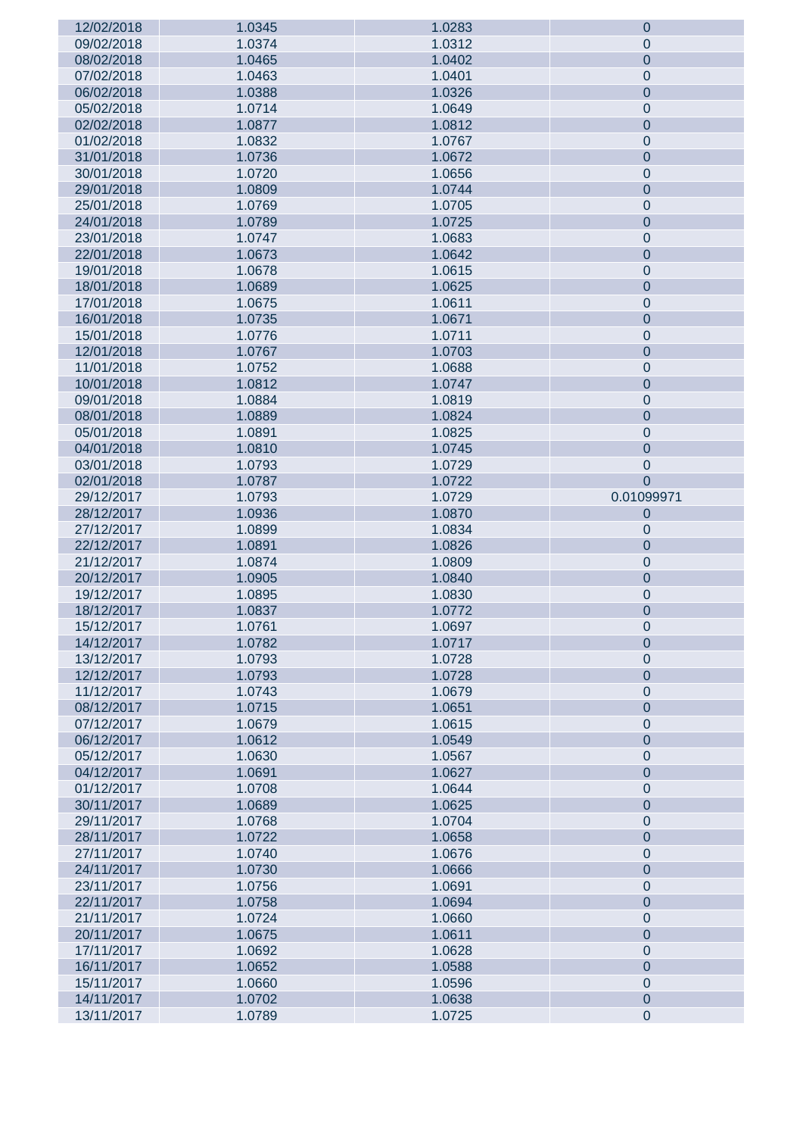| 12/02/2018 | 1.0345 | 1.0283 | $\mathbf 0$    |
|------------|--------|--------|----------------|
| 09/02/2018 | 1.0374 | 1.0312 | $\mathbf 0$    |
| 08/02/2018 | 1.0465 | 1.0402 | $\pmb{0}$      |
| 07/02/2018 | 1.0463 | 1.0401 | $\pmb{0}$      |
| 06/02/2018 | 1.0388 | 1.0326 | $\overline{0}$ |
| 05/02/2018 | 1.0714 | 1.0649 | $\pmb{0}$      |
| 02/02/2018 | 1.0877 | 1.0812 | $\pmb{0}$      |
| 01/02/2018 | 1.0832 | 1.0767 | $\pmb{0}$      |
|            |        |        |                |
| 31/01/2018 | 1.0736 | 1.0672 | $\overline{0}$ |
| 30/01/2018 | 1.0720 | 1.0656 | $\pmb{0}$      |
| 29/01/2018 | 1.0809 | 1.0744 | $\overline{0}$ |
| 25/01/2018 | 1.0769 | 1.0705 | $\pmb{0}$      |
| 24/01/2018 | 1.0789 | 1.0725 | $\overline{0}$ |
| 23/01/2018 | 1.0747 | 1.0683 | $\pmb{0}$      |
| 22/01/2018 | 1.0673 | 1.0642 | $\overline{0}$ |
| 19/01/2018 | 1.0678 | 1.0615 | $\pmb{0}$      |
| 18/01/2018 | 1.0689 | 1.0625 | $\overline{0}$ |
| 17/01/2018 | 1.0675 | 1.0611 | $\pmb{0}$      |
| 16/01/2018 | 1.0735 | 1.0671 | $\overline{0}$ |
| 15/01/2018 | 1.0776 | 1.0711 | $\pmb{0}$      |
| 12/01/2018 | 1.0767 | 1.0703 | $\overline{0}$ |
| 11/01/2018 | 1.0752 | 1.0688 | $\pmb{0}$      |
| 10/01/2018 | 1.0812 | 1.0747 | $\overline{0}$ |
| 09/01/2018 | 1.0884 | 1.0819 | $\pmb{0}$      |
| 08/01/2018 | 1.0889 | 1.0824 | $\overline{0}$ |
|            |        |        |                |
| 05/01/2018 | 1.0891 | 1.0825 | $\pmb{0}$      |
| 04/01/2018 | 1.0810 | 1.0745 | $\overline{0}$ |
| 03/01/2018 | 1.0793 | 1.0729 | $\pmb{0}$      |
| 02/01/2018 | 1.0787 | 1.0722 | $\overline{0}$ |
| 29/12/2017 | 1.0793 | 1.0729 | 0.01099971     |
| 28/12/2017 | 1.0936 | 1.0870 | $\mathbf 0$    |
| 27/12/2017 | 1.0899 | 1.0834 | $\mathbf 0$    |
| 22/12/2017 | 1.0891 | 1.0826 | $\pmb{0}$      |
| 21/12/2017 | 1.0874 | 1.0809 | $\pmb{0}$      |
| 20/12/2017 | 1.0905 | 1.0840 | $\pmb{0}$      |
| 19/12/2017 | 1.0895 | 1.0830 | $\pmb{0}$      |
| 18/12/2017 | 1.0837 | 1.0772 | $\pmb{0}$      |
| 15/12/2017 | 1.0761 | 1.0697 | $\mathsf 0$    |
| 14/12/2017 | 1.0782 | 1.0717 | $\mathbf 0$    |
| 13/12/2017 | 1.0793 | 1.0728 | $\pmb{0}$      |
| 12/12/2017 | 1.0793 | 1.0728 | $\overline{0}$ |
| 11/12/2017 | 1.0743 | 1.0679 | $\mathbf 0$    |
| 08/12/2017 | 1.0715 | 1.0651 | $\overline{0}$ |
| 07/12/2017 | 1.0679 | 1.0615 | $\mathbf 0$    |
| 06/12/2017 | 1.0612 | 1.0549 | $\overline{0}$ |
| 05/12/2017 | 1.0630 | 1.0567 | $\mathbf 0$    |
|            |        |        |                |
| 04/12/2017 | 1.0691 | 1.0627 | $\overline{0}$ |
| 01/12/2017 | 1.0708 | 1.0644 | $\mathbf 0$    |
| 30/11/2017 | 1.0689 | 1.0625 | $\overline{0}$ |
| 29/11/2017 | 1.0768 | 1.0704 | $\mathbf 0$    |
| 28/11/2017 | 1.0722 | 1.0658 | $\overline{0}$ |
| 27/11/2017 | 1.0740 | 1.0676 | $\mathbf 0$    |
| 24/11/2017 | 1.0730 | 1.0666 | $\overline{0}$ |
| 23/11/2017 | 1.0756 | 1.0691 | $\mathbf 0$    |
| 22/11/2017 | 1.0758 | 1.0694 | $\overline{0}$ |
| 21/11/2017 | 1.0724 | 1.0660 | $\mathbf 0$    |
| 20/11/2017 | 1.0675 | 1.0611 | $\overline{0}$ |
| 17/11/2017 | 1.0692 | 1.0628 | $\mathbf 0$    |
| 16/11/2017 | 1.0652 | 1.0588 | $\overline{0}$ |
| 15/11/2017 | 1.0660 | 1.0596 | $\mathbf 0$    |
| 14/11/2017 | 1.0702 | 1.0638 | $\overline{0}$ |
|            |        |        |                |
| 13/11/2017 | 1.0789 | 1.0725 | $\pmb{0}$      |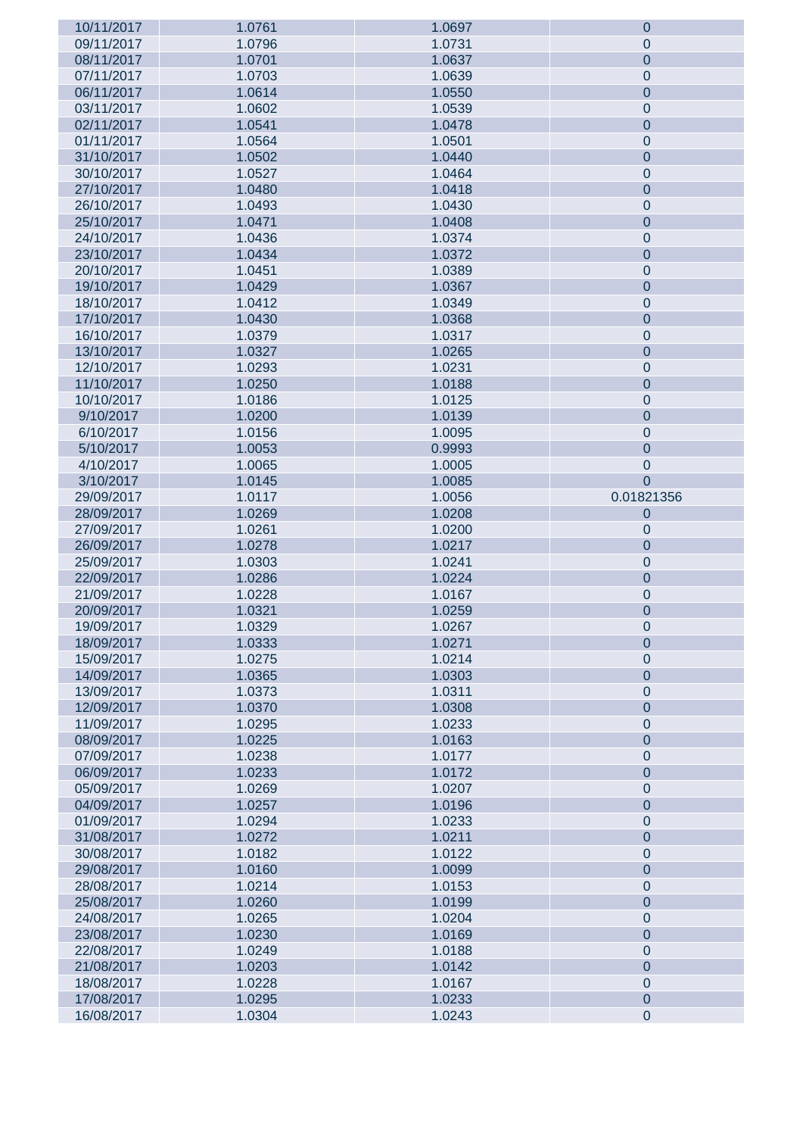| 10/11/2017               | 1.0761           | 1.0697           | $\mathbf 0$    |
|--------------------------|------------------|------------------|----------------|
| 09/11/2017               | 1.0796           | 1.0731           | $\mathbf 0$    |
| 08/11/2017               | 1.0701           | 1.0637           | $\pmb{0}$      |
| 07/11/2017               | 1.0703           | 1.0639           | $\pmb{0}$      |
| 06/11/2017               | 1.0614           | 1.0550           | $\overline{0}$ |
| 03/11/2017               | 1.0602           | 1.0539           | $\pmb{0}$      |
| 02/11/2017               | 1.0541           | 1.0478           | $\pmb{0}$      |
| 01/11/2017               | 1.0564           | 1.0501           | $\pmb{0}$      |
| 31/10/2017               | 1.0502           | 1.0440           | $\overline{0}$ |
| 30/10/2017               | 1.0527           | 1.0464           | $\pmb{0}$      |
| 27/10/2017               | 1.0480           | 1.0418           | $\overline{0}$ |
| 26/10/2017               | 1.0493           | 1.0430           | $\pmb{0}$      |
| 25/10/2017               | 1.0471           | 1.0408           | $\overline{0}$ |
| 24/10/2017               | 1.0436           | 1.0374           | $\pmb{0}$      |
| 23/10/2017               | 1.0434           | 1.0372           | $\overline{0}$ |
| 20/10/2017               | 1.0451           | 1.0389           | $\pmb{0}$      |
| 19/10/2017               | 1.0429           | 1.0367           | $\overline{0}$ |
| 18/10/2017               | 1.0412           | 1.0349           | $\pmb{0}$      |
| 17/10/2017               | 1.0430           | 1.0368           | $\overline{0}$ |
| 16/10/2017               | 1.0379           | 1.0317           | $\pmb{0}$      |
| 13/10/2017               | 1.0327           | 1.0265           | $\overline{0}$ |
| 12/10/2017               | 1.0293           | 1.0231           | $\pmb{0}$      |
| 11/10/2017               | 1.0250           | 1.0188           | $\overline{0}$ |
| 10/10/2017               | 1.0186           | 1.0125           | $\pmb{0}$      |
| 9/10/2017                | 1.0200           | 1.0139           | $\overline{0}$ |
|                          |                  |                  |                |
| 6/10/2017                | 1.0156           | 1.0095           | $\pmb{0}$      |
| 5/10/2017                | 1.0053           | 0.9993           | $\overline{0}$ |
| 4/10/2017                | 1.0065           | 1.0005           | $\pmb{0}$      |
| 3/10/2017                | 1.0145           | 1.0085           | $\overline{0}$ |
| 29/09/2017<br>28/09/2017 | 1.0117<br>1.0269 | 1.0056<br>1.0208 | 0.01821356     |
|                          |                  |                  | $\mathbf 0$    |
|                          |                  |                  |                |
| 27/09/2017               | 1.0261           | 1.0200           | $\pmb{0}$      |
| 26/09/2017               | 1.0278           | 1.0217           | $\pmb{0}$      |
| 25/09/2017               | 1.0303           | 1.0241           | $\pmb{0}$      |
| 22/09/2017               | 1.0286           | 1.0224           | $\pmb{0}$      |
| 21/09/2017               | 1.0228           | 1.0167           | $\pmb{0}$      |
| 20/09/2017               | 1.0321           | 1.0259           | $\pmb{0}$      |
| 19/09/2017               | 1.0329           | 1.0267           | $\mathsf 0$    |
| 18/09/2017               | 1.0333           | 1.0271           | $\mathbf 0$    |
| 15/09/2017               | 1.0275           | 1.0214           | $\mathbf 0$    |
| 14/09/2017               | 1.0365           | 1.0303           | $\overline{0}$ |
| 13/09/2017               | 1.0373           | 1.0311           | $\mathbf 0$    |
| 12/09/2017               | 1.0370           | 1.0308           | $\overline{0}$ |
| 11/09/2017               | 1.0295           | 1.0233           | $\mathbf 0$    |
| 08/09/2017               | 1.0225           | 1.0163           | $\overline{0}$ |
| 07/09/2017               | 1.0238           | 1.0177           | $\mathbf 0$    |
| 06/09/2017               | 1.0233           | 1.0172           | $\overline{0}$ |
| 05/09/2017               | 1.0269           | 1.0207           | $\mathbf 0$    |
| 04/09/2017               | 1.0257           | 1.0196           | $\overline{0}$ |
| 01/09/2017               | 1.0294           | 1.0233           | $\mathbf 0$    |
| 31/08/2017               | 1.0272           | 1.0211           | $\overline{0}$ |
| 30/08/2017               | 1.0182           | 1.0122           | $\mathbf 0$    |
| 29/08/2017               | 1.0160           | 1.0099           | $\overline{0}$ |
| 28/08/2017               | 1.0214           | 1.0153           | $\mathbf 0$    |
| 25/08/2017               | 1.0260           | 1.0199           | $\overline{0}$ |
| 24/08/2017               | 1.0265           | 1.0204           | $\mathbf 0$    |
| 23/08/2017               | 1.0230           | 1.0169           | $\overline{0}$ |
| 22/08/2017               | 1.0249           | 1.0188           | $\mathbf 0$    |
| 21/08/2017               | 1.0203           | 1.0142           | $\overline{0}$ |
| 18/08/2017               | 1.0228           | 1.0167           | $\mathbf 0$    |
| 17/08/2017               | 1.0295           | 1.0233           | $\overline{0}$ |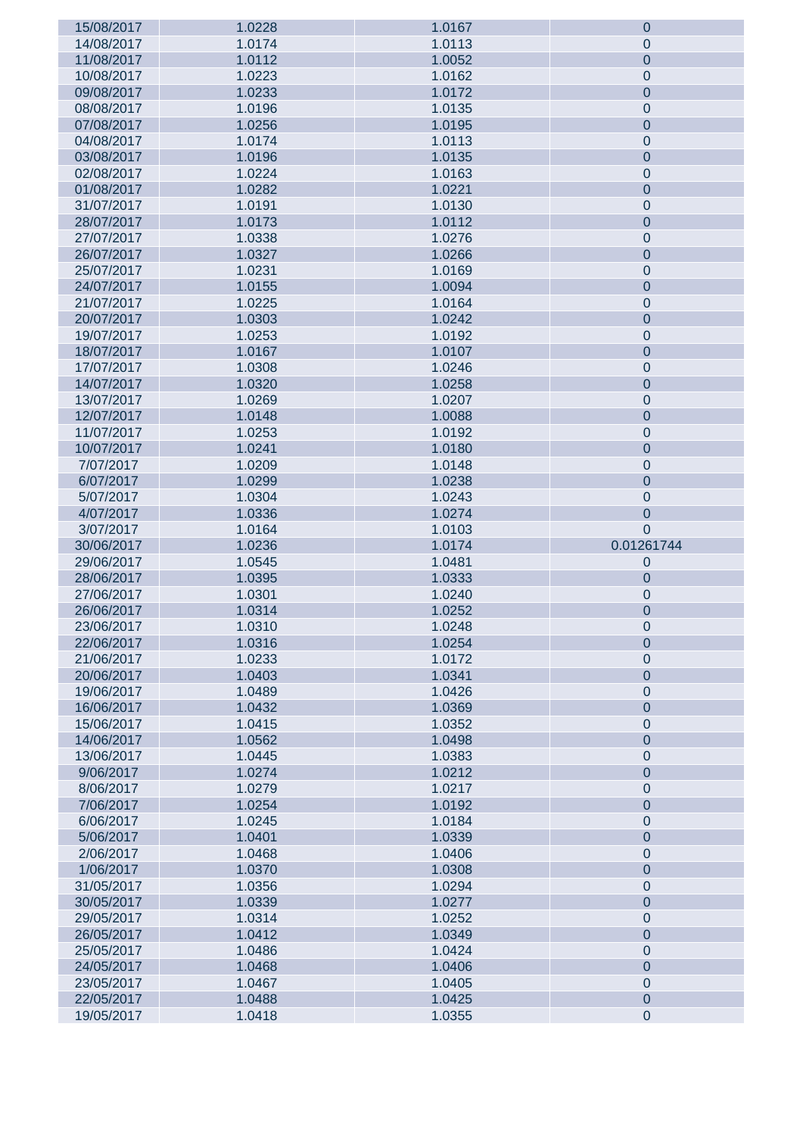| 15/08/2017 | 1.0228 | 1.0167 | $\mathbf 0$    |
|------------|--------|--------|----------------|
| 14/08/2017 | 1.0174 | 1.0113 | $\mathbf{0}$   |
| 11/08/2017 | 1.0112 | 1.0052 | $\mathbf 0$    |
| 10/08/2017 | 1.0223 | 1.0162 | $\mathbf 0$    |
| 09/08/2017 | 1.0233 | 1.0172 | $\mathbf 0$    |
| 08/08/2017 | 1.0196 | 1.0135 | $\pmb{0}$      |
| 07/08/2017 | 1.0256 | 1.0195 | $\mathbf 0$    |
| 04/08/2017 | 1.0174 | 1.0113 | $\pmb{0}$      |
| 03/08/2017 | 1.0196 | 1.0135 | $\mathbf 0$    |
|            |        |        |                |
| 02/08/2017 | 1.0224 | 1.0163 | $\pmb{0}$      |
| 01/08/2017 | 1.0282 | 1.0221 | $\mathbf 0$    |
| 31/07/2017 | 1.0191 | 1.0130 | $\pmb{0}$      |
| 28/07/2017 | 1.0173 | 1.0112 | $\mathbf 0$    |
| 27/07/2017 | 1.0338 | 1.0276 | $\pmb{0}$      |
| 26/07/2017 | 1.0327 | 1.0266 | $\mathbf 0$    |
| 25/07/2017 | 1.0231 | 1.0169 | $\pmb{0}$      |
| 24/07/2017 | 1.0155 | 1.0094 | $\mathbf 0$    |
| 21/07/2017 | 1.0225 | 1.0164 | $\pmb{0}$      |
| 20/07/2017 | 1.0303 | 1.0242 | $\mathbf 0$    |
| 19/07/2017 | 1.0253 | 1.0192 | $\pmb{0}$      |
| 18/07/2017 | 1.0167 | 1.0107 | $\mathbf 0$    |
| 17/07/2017 | 1.0308 | 1.0246 | $\pmb{0}$      |
| 14/07/2017 | 1.0320 | 1.0258 | $\mathbf 0$    |
| 13/07/2017 | 1.0269 | 1.0207 | $\pmb{0}$      |
| 12/07/2017 | 1.0148 | 1.0088 | $\mathbf 0$    |
|            | 1.0253 | 1.0192 |                |
| 11/07/2017 |        |        | $\pmb{0}$      |
| 10/07/2017 | 1.0241 | 1.0180 | $\mathbf 0$    |
| 7/07/2017  | 1.0209 | 1.0148 | $\pmb{0}$      |
| 6/07/2017  | 1.0299 | 1.0238 | $\mathbf 0$    |
| 5/07/2017  | 1.0304 | 1.0243 | $\mathbf 0$    |
| 4/07/2017  | 1.0336 | 1.0274 | $\pmb{0}$      |
| 3/07/2017  | 1.0164 | 1.0103 | $\overline{0}$ |
| 30/06/2017 | 1.0236 | 1.0174 | 0.01261744     |
| 29/06/2017 | 1.0545 | 1.0481 | $\mathbf 0$    |
| 28/06/2017 | 1.0395 | 1.0333 | $\mathbf 0$    |
| 27/06/2017 |        | 1.0240 | $\pmb{0}$      |
|            | 1.0301 |        |                |
| 26/06/2017 | 1.0314 | 1.0252 |                |
|            |        |        | 0              |
| 23/06/2017 | 1.0310 | 1.0248 | 0              |
| 22/06/2017 | 1.0316 | 1.0254 | $\mathbf{0}$   |
| 21/06/2017 | 1.0233 | 1.0172 | $\pmb{0}$      |
| 20/06/2017 | 1.0403 | 1.0341 | $\mathbf 0$    |
| 19/06/2017 | 1.0489 | 1.0426 | $\mathbf 0$    |
| 16/06/2017 | 1.0432 | 1.0369 | $\overline{0}$ |
| 15/06/2017 | 1.0415 | 1.0352 | $\mathbf 0$    |
| 14/06/2017 | 1.0562 | 1.0498 | $\overline{0}$ |
| 13/06/2017 | 1.0445 | 1.0383 | $\mathbf 0$    |
| 9/06/2017  | 1.0274 | 1.0212 | $\mathbf 0$    |
| 8/06/2017  | 1.0279 | 1.0217 | $\mathbf 0$    |
| 7/06/2017  | 1.0254 | 1.0192 | $\mathbf 0$    |
| 6/06/2017  | 1.0245 | 1.0184 | $\mathbf 0$    |
| 5/06/2017  | 1.0401 | 1.0339 | $\mathbf 0$    |
| 2/06/2017  | 1.0468 | 1.0406 | $\mathbf 0$    |
| 1/06/2017  | 1.0370 | 1.0308 | $\mathbf 0$    |
| 31/05/2017 | 1.0356 | 1.0294 | $\mathbf 0$    |
| 30/05/2017 | 1.0339 | 1.0277 | $\overline{0}$ |
| 29/05/2017 | 1.0314 | 1.0252 | $\mathbf 0$    |
| 26/05/2017 | 1.0412 | 1.0349 | $\mathbf 0$    |
| 25/05/2017 | 1.0486 | 1.0424 | $\mathbf 0$    |
| 24/05/2017 | 1.0468 | 1.0406 | $\mathbf 0$    |
| 23/05/2017 | 1.0467 | 1.0405 | $\pmb{0}$      |
| 22/05/2017 | 1.0488 | 1.0425 | $\pmb{0}$      |
| 19/05/2017 | 1.0418 | 1.0355 | $\pmb{0}$      |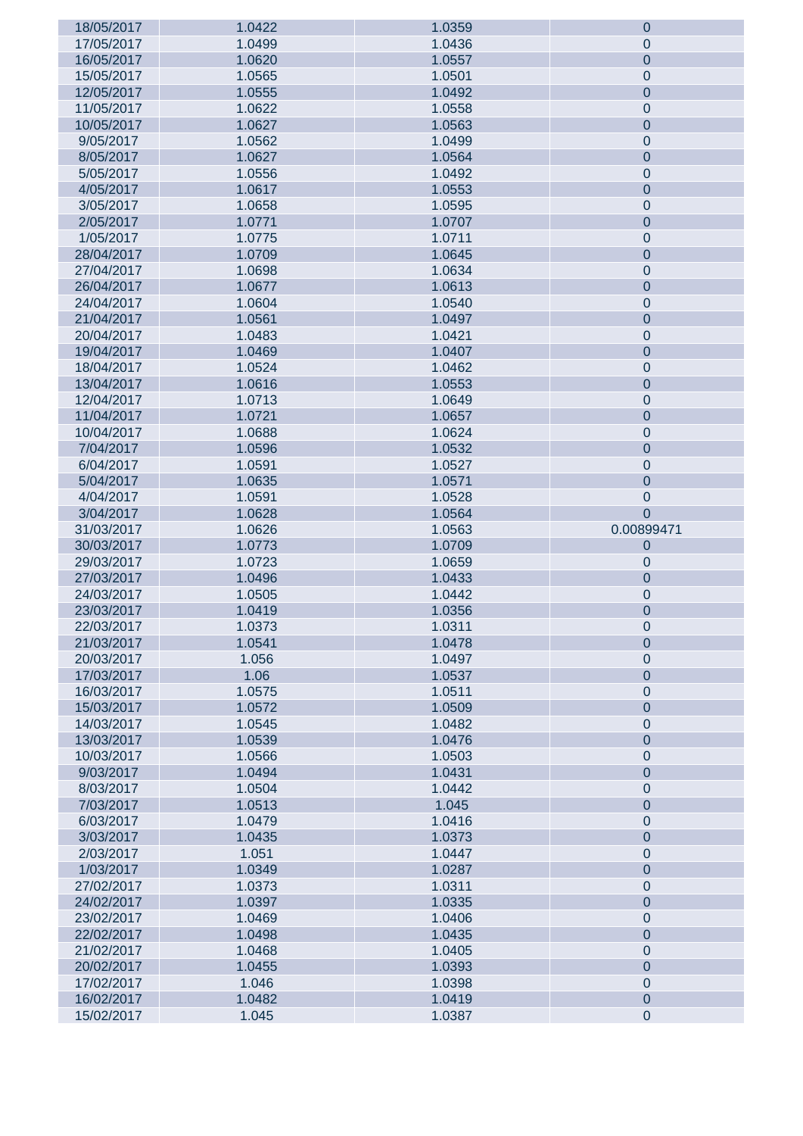| 18/05/2017 | 1.0422 | 1.0359 | 0                      |
|------------|--------|--------|------------------------|
| 17/05/2017 | 1.0499 | 1.0436 | $\pmb{0}$              |
| 16/05/2017 | 1.0620 | 1.0557 | $\overline{0}$         |
| 15/05/2017 | 1.0565 | 1.0501 | $\pmb{0}$              |
| 12/05/2017 | 1.0555 | 1.0492 | $\overline{0}$         |
| 11/05/2017 | 1.0622 | 1.0558 | $\pmb{0}$              |
| 10/05/2017 | 1.0627 | 1.0563 | $\overline{0}$         |
| 9/05/2017  | 1.0562 | 1.0499 | $\pmb{0}$              |
|            | 1.0627 |        | $\overline{0}$         |
| 8/05/2017  |        | 1.0564 |                        |
| 5/05/2017  | 1.0556 | 1.0492 | $\pmb{0}$              |
| 4/05/2017  | 1.0617 | 1.0553 | $\overline{0}$         |
| 3/05/2017  | 1.0658 | 1.0595 | $\pmb{0}$              |
| 2/05/2017  | 1.0771 | 1.0707 | $\overline{0}$         |
| 1/05/2017  | 1.0775 | 1.0711 | $\pmb{0}$              |
| 28/04/2017 | 1.0709 | 1.0645 | $\mathbf 0$            |
| 27/04/2017 | 1.0698 | 1.0634 | $\pmb{0}$              |
| 26/04/2017 | 1.0677 | 1.0613 | $\mathbf 0$            |
| 24/04/2017 | 1.0604 | 1.0540 | $\pmb{0}$              |
| 21/04/2017 | 1.0561 | 1.0497 | $\overline{0}$         |
| 20/04/2017 | 1.0483 | 1.0421 | $\pmb{0}$              |
| 19/04/2017 | 1.0469 | 1.0407 | $\overline{0}$         |
| 18/04/2017 | 1.0524 | 1.0462 | $\pmb{0}$              |
| 13/04/2017 | 1.0616 | 1.0553 | $\mathbf 0$            |
| 12/04/2017 | 1.0713 | 1.0649 | $\pmb{0}$              |
| 11/04/2017 | 1.0721 | 1.0657 | $\mathbf 0$            |
|            |        |        |                        |
| 10/04/2017 | 1.0688 | 1.0624 | $\pmb{0}$              |
| 7/04/2017  | 1.0596 | 1.0532 | $\mathbf 0$            |
| 6/04/2017  | 1.0591 | 1.0527 | $\pmb{0}$              |
| 5/04/2017  | 1.0635 | 1.0571 | $\overline{0}$         |
| 4/04/2017  | 1.0591 | 1.0528 | $\pmb{0}$              |
| 3/04/2017  | 1.0628 | 1.0564 | $\overline{0}$         |
| 31/03/2017 | 1.0626 | 1.0563 | 0.00899471             |
| 30/03/2017 | 1.0773 | 1.0709 | $\pmb{0}$              |
| 29/03/2017 | 1.0723 | 1.0659 | $\pmb{0}$              |
| 27/03/2017 | 1.0496 | 1.0433 | $\pmb{0}$              |
| 24/03/2017 | 1.0505 | 1.0442 | $\pmb{0}$              |
| 23/03/2017 | 1.0419 | 1.0356 | $\mathbf 0$            |
| 22/03/2017 | 1.0373 | 1.0311 | $\boldsymbol{0}$       |
| 21/03/2017 | 1.0541 | 1.0478 | 0                      |
| 20/03/2017 | 1.056  | 1.0497 | $\pmb{0}$              |
| 17/03/2017 | 1.06   | 1.0537 | $\overline{0}$         |
| 16/03/2017 | 1.0575 | 1.0511 | $\pmb{0}$              |
| 15/03/2017 | 1.0572 | 1.0509 | $\overline{0}$         |
| 14/03/2017 | 1.0545 | 1.0482 | $\pmb{0}$              |
| 13/03/2017 | 1.0539 | 1.0476 | $\overline{0}$         |
| 10/03/2017 | 1.0566 | 1.0503 | $\pmb{0}$              |
| 9/03/2017  | 1.0494 | 1.0431 | $\overline{0}$         |
|            |        |        |                        |
| 8/03/2017  | 1.0504 | 1.0442 | $\pmb{0}$              |
| 7/03/2017  | 1.0513 | 1.045  | $\overline{0}$         |
| 6/03/2017  | 1.0479 | 1.0416 | $\pmb{0}$              |
| 3/03/2017  | 1.0435 | 1.0373 | $\overline{0}$         |
| 2/03/2017  | 1.051  | 1.0447 | $\pmb{0}$              |
| 1/03/2017  | 1.0349 | 1.0287 | $\overline{0}$         |
| 27/02/2017 | 1.0373 | 1.0311 | $\pmb{0}$              |
| 24/02/2017 | 1.0397 | 1.0335 | $\overline{0}$         |
| 23/02/2017 | 1.0469 | 1.0406 | $\pmb{0}$              |
| 22/02/2017 | 1.0498 | 1.0435 | $\overline{0}$         |
| 21/02/2017 | 1.0468 | 1.0405 | $\mathbf 0$            |
| 20/02/2017 | 1.0455 | 1.0393 | $\overline{0}$         |
| 17/02/2017 | 1.046  | 1.0398 | $\mathbf 0$            |
| 16/02/2017 |        |        |                        |
|            | 1.0482 | 1.0419 |                        |
| 15/02/2017 | 1.045  | 1.0387 | $\pmb{0}$<br>$\pmb{0}$ |